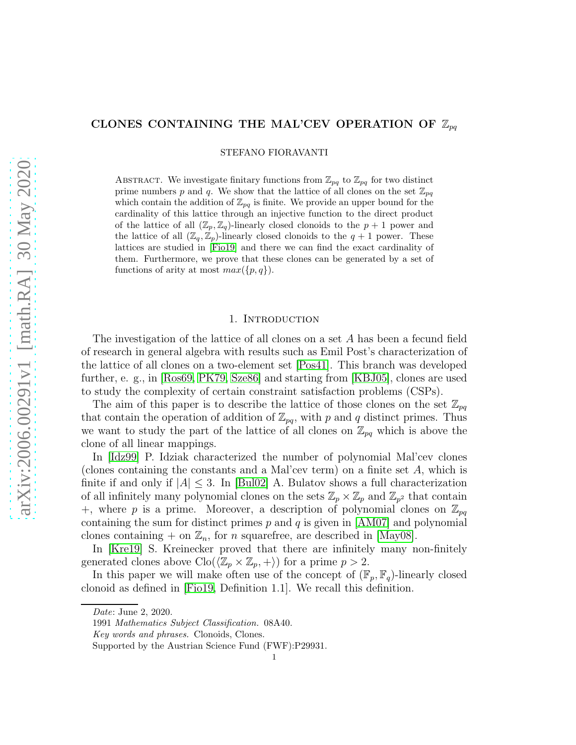# CLONES CONTAINING THE MAL'CEV OPERATION OF  $\mathbb{Z}_{pq}$

STEFANO FIORAVANTI

ABSTRACT. We investigate finitary functions from  $\mathbb{Z}_{pq}$  to  $\mathbb{Z}_{pq}$  for two distinct prime numbers p and q. We show that the lattice of all clones on the set  $\mathbb{Z}_{pq}$ which contain the addition of  $\mathbb{Z}_{pq}$  is finite. We provide an upper bound for the cardinality of this lattice through an injective function to the direct product of the lattice of all  $(\mathbb{Z}_p, \mathbb{Z}_q)$ -linearly closed clonoids to the  $p+1$  power and the lattice of all  $(\mathbb{Z}_q, \mathbb{Z}_p)$ -linearly closed clonoids to the  $q + 1$  power. These lattices are studied in [\[Fio19\]](#page-22-0) and there we can find the exact cardinality of them. Furthermore, we prove that these clones can be generated by a set of functions of arity at most  $max({p, q})$ .

#### 1. INTRODUCTION

The investigation of the lattice of all clones on a set A has been a fecund field of research in general algebra with results such as Emil Post's characterization of the lattice of all clones on a two-element set [\[Pos41\]](#page-22-1). This branch was developed further, e. g., in [\[Ros69,](#page-22-2) [PK79,](#page-22-3) [Sze86\]](#page-22-4) and starting from [\[KBJ05\]](#page-22-5), clones are used to study the complexity of certain constraint satisfaction problems (CSPs).

The aim of this paper is to describe the lattice of those clones on the set  $\mathbb{Z}_{pq}$ that contain the operation of addition of  $\mathbb{Z}_{pq}$ , with p and q distinct primes. Thus we want to study the part of the lattice of all clones on  $\mathbb{Z}_{pq}$  which is above the clone of all linear mappings.

In [\[Idz99\]](#page-22-6) P. Idziak characterized the number of polynomial Mal'cev clones (clones containing the constants and a Mal'cev term) on a finite set A, which is finite if and only if  $|A| \leq 3$ . In [\[Bul02\]](#page-22-7) A. Bulatov shows a full characterization of all infinitely many polynomial clones on the sets  $\mathbb{Z}_p\times\mathbb{Z}_p$  and  $\mathbb{Z}_{p^2}$  that contain +, where p is a prime. Moreover, a description of polynomial clones on  $\mathbb{Z}_{pq}$ containing the sum for distinct primes  $p$  and  $q$  is given in [\[AM07\]](#page-22-8) and polynomial clones containing  $+$  on  $\mathbb{Z}_n$ , for *n* squarefree, are described in [\[May08\]](#page-22-9).

In [\[Kre19\]](#page-22-10) S. Kreinecker proved that there are infinitely many non-finitely generated clones above  $\text{Clo}(\langle \mathbb{Z}_p \times \mathbb{Z}_p, + \rangle)$  for a prime  $p > 2$ .

In this paper we will make often use of the concept of  $(\mathbb{F}_p, \mathbb{F}_q)$ -linearly closed clonoid as defined in [\[Fio19,](#page-22-0) Definition 1.1]. We recall this definition.

Date: June 2, 2020.

<sup>1991</sup> Mathematics Subject Classification. 08A40.

Key words and phrases. Clonoids, Clones.

Supported by the Austrian Science Fund (FWF):P29931.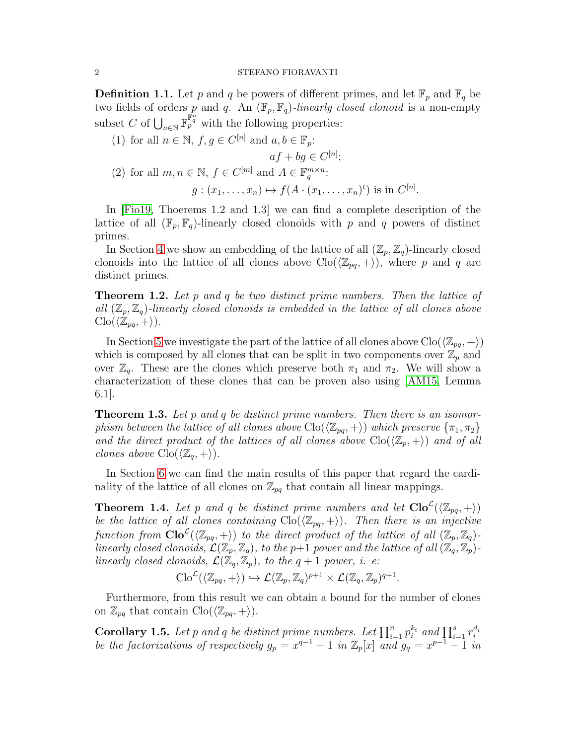<span id="page-1-2"></span>**Definition 1.1.** Let p and q be powers of different primes, and let  $\mathbb{F}_p$  and  $\mathbb{F}_q$  be two fields of orders p and q. An  $(\mathbb{F}_p, \mathbb{F}_q)$ -linearly closed clonoid is a non-empty subset C of  $\bigcup_{n\in\mathbb{N}} \mathbb{F}_p^{\mathbb{F}_q^n}$  with the following properties:

(1) for all  $n \in \mathbb{N}$ ,  $f, g \in C^{[n]}$  and  $a, b \in \mathbb{F}_p$ :

$$
af + bg \in C^{[n]};
$$

(2) for all  $m, n \in \mathbb{N}$ ,  $f \in C^{[m]}$  and  $A \in \mathbb{F}_q^{m \times n}$ :

$$
g:(x_1,\ldots,x_n)\mapsto f(A\cdot(x_1,\ldots,x_n)^t)
$$
 is in  $C^{[n]}$ .

In [\[Fio19,](#page-22-0) Thoerems 1.2 and 1.3] we can find a complete description of the lattice of all  $(\mathbb{F}_p, \mathbb{F}_q)$ -linearly closed clonoids with p and q powers of distinct primes.

In Section [4](#page-8-0) we show an embedding of the lattice of all  $(\mathbb{Z}_p, \mathbb{Z}_q)$ -linearly closed clonoids into the lattice of all clones above  $\text{Clo}(\langle \mathbb{Z}_{pq}, +\rangle)$ , where p and q are distinct primes.

<span id="page-1-1"></span>**Theorem 1.2.** Let p and q be two distinct prime numbers. Then the lattice of all  $(\mathbb{Z}_p, \mathbb{Z}_q)$ -linearly closed clonoids is embedded in the lattice of all clones above  $\text{Clo}(\langle \mathbb{Z}_{pq}, +\rangle).$ 

In Section [5](#page-10-0) we investigate the part of the lattice of all clones above  $\text{Clo}(\langle \mathbb{Z}_{pq}, +\rangle)$ which is composed by all clones that can be split in two components over  $\mathbb{Z}_p$  and over  $\mathbb{Z}_q$ . These are the clones which preserve both  $\pi_1$  and  $\pi_2$ . We will show a characterization of these clones that can be proven also using [\[AM15,](#page-22-11) Lemma 6.1].

<span id="page-1-3"></span>**Theorem 1.3.** Let p and q be distinct prime numbers. Then there is an isomorphism between the lattice of all clones above  $\text{Clo}(\langle \mathbb{Z}_{pq}, +\rangle)$  which preserve  $\{\pi_1, \pi_2\}$ and the direct product of the lattices of all clones above  $\text{Clo}(\langle \mathbb{Z}_p, +\rangle)$  and of all clones above  $\text{Clo}(\langle \mathbb{Z}_q, +\rangle)$ .

In Section [6](#page-11-0) we can find the main results of this paper that regard the cardinality of the lattice of all clones on  $\mathbb{Z}_{pq}$  that contain all linear mappings.

<span id="page-1-0"></span>**Theorem 1.4.** Let p and q be distinct prime numbers and let  $\text{Clo}^{\mathcal{L}}(\langle \mathbb{Z}_{pq}, + \rangle)$ be the lattice of all clones containing  $\text{Clo}(\langle \mathbb{Z}_{pq}, +\rangle)$ . Then there is an injective function from  $\text{Clo}^{\mathcal{L}}(\langle \mathbb{Z}_{pq}, + \rangle)$  to the direct product of the lattice of all  $(\mathbb{Z}_p, \mathbb{Z}_q)$ linearly closed clonoids,  $\mathcal{L}(\mathbb{Z}_p, \mathbb{Z}_q)$ , to the p+1 power and the lattice of all  $(\mathbb{Z}_q, \mathbb{Z}_p)$ linearly closed clonoids,  $\mathcal{L}(\mathbb{Z}_q, \mathbb{Z}_p)$ , to the  $q+1$  power, i. e:

$$
\mathrm{Clo}^{\mathcal{L}}(\langle \mathbb{Z}_{pq}, + \rangle) \hookrightarrow \mathcal{L}(\mathbb{Z}_{p}, \mathbb{Z}_{q})^{p+1} \times \mathcal{L}(\mathbb{Z}_{q}, \mathbb{Z}_{p})^{q+1}.
$$

Furthermore, from this result we can obtain a bound for the number of clones on  $\mathbb{Z}_{pq}$  that contain  $\text{Clo}(\langle \mathbb{Z}_{pq}, +\rangle).$ 

<span id="page-1-4"></span>**Corollary 1.5.** Let p and q be distinct prime numbers. Let  $\prod_{i=1}^{n} p_i^{k_i}$  and  $\prod_{i=1}^{s} r_i^{d_i}$ be the factorizations of respectively  $g_p = x^{q-1} - 1$  in  $\mathbb{Z}_p[x]$  and  $g_q = x^{p-1} - 1$  in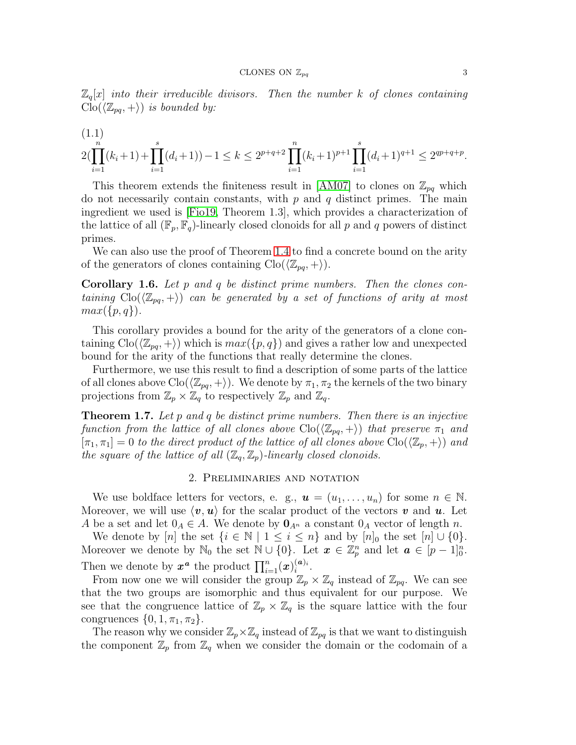$\mathbb{Z}_q[x]$  into their irreducible divisors. Then the number k of clones containing  $\text{Clo}(\langle \mathbb{Z}_{pq}, + \rangle)$  is bounded by:

$$
(1.1)
$$
  
 
$$
2(\prod_{i=1}^{n}(k_i+1)+\prod_{i=1}^{s}(d_i+1))-1 \leq k \leq 2^{p+q+2}\prod_{i=1}^{n}(k_i+1)^{p+1}\prod_{i=1}^{s}(d_i+1)^{q+1} \leq 2^{qp+q+p}.
$$

This theorem extends the finiteness result in [\[AM07\]](#page-22-8) to clones on  $\mathbb{Z}_{pq}$  which do not necessarily contain constants, with  $p$  and  $q$  distinct primes. The main ingredient we used is [\[Fio19,](#page-22-0) Theorem 1.3], which provides a characterization of the lattice of all  $(\mathbb{F}_p, \mathbb{F}_q)$ -linearly closed clonoids for all p and q powers of distinct primes.

We can also use the proof of Theorem [1.4](#page-1-0) to find a concrete bound on the arity of the generators of clones containing  $\text{Clo}(\langle \mathbb{Z}_{pa}, +\rangle).$ 

<span id="page-2-0"></span>**Corollary 1.6.** Let p and q be distinct prime numbers. Then the clones containing  $\text{Clo}(\langle \mathbb{Z}_{pq}, + \rangle)$  can be generated by a set of functions of arity at most  $max({p, q})$ .

This corollary provides a bound for the arity of the generators of a clone containing  $\text{Clo}(\langle \mathbb{Z}_{pq}, +\rangle)$  which is  $max(\lbrace p, q \rbrace)$  and gives a rather low and unexpected bound for the arity of the functions that really determine the clones.

Furthermore, we use this result to find a description of some parts of the lattice of all clones above  $\text{Clo}(\langle \mathbb{Z}_{pq}, +\rangle)$ . We denote by  $\pi_1, \pi_2$  the kernels of the two binary projections from  $\mathbb{Z}_p \times \mathbb{Z}_q$  to respectively  $\mathbb{Z}_p$  and  $\mathbb{Z}_q$ .

<span id="page-2-1"></span>**Theorem 1.7.** Let p and q be distinct prime numbers. Then there is an injective function from the lattice of all clones above  $\text{Clo}(\langle \mathbb{Z}_{pq}, + \rangle)$  that preserve  $\pi_1$  and  $[\pi_1, \pi_1] = 0$  to the direct product of the lattice of all clones above  $\text{Clo}(\langle \mathbb{Z}_p, +\rangle)$  and the square of the lattice of all  $(\mathbb{Z}_q, \mathbb{Z}_p)$ -linearly closed clonoids.

#### 2. Preliminaries and notation

We use boldface letters for vectors, e. g.,  $u = (u_1, \ldots, u_n)$  for some  $n \in \mathbb{N}$ . Moreover, we will use  $\langle v, u \rangle$  for the scalar product of the vectors v and u. Let A be a set and let  $0_A \in A$ . We denote by  $\mathbf{0}_{A^n}$  a constant  $0_A$  vector of length n.

We denote by [n] the set  $\{i \in \mathbb{N} \mid 1 \le i \le n\}$  and by  $[n]_0$  the set  $[n] \cup \{0\}$ . Moreover we denote by  $\mathbb{N}_0$  the set  $\mathbb{N} \cup \{0\}$ . Let  $x \in \mathbb{Z}_p^n$  and let  $a \in [p-1]_0^n$ . Then we denote by  $x^a$  the product  $\prod_{i=1}^n (x)_i^{(a)_i}$  $\frac{(\boldsymbol{a})_i}{i}$ .

From now one we will consider the group  $\mathbb{Z}_p \times \mathbb{Z}_q$  instead of  $\mathbb{Z}_{pq}$ . We can see that the two groups are isomorphic and thus equivalent for our purpose. We see that the congruence lattice of  $\mathbb{Z}_p \times \mathbb{Z}_q$  is the square lattice with the four congruences  $\{0, 1, \pi_1, \pi_2\}.$ 

The reason why we consider  $\mathbb{Z}_p\times\mathbb{Z}_q$  instead of  $\mathbb{Z}_{pq}$  is that we want to distinguish the component  $\mathbb{Z}_p$  from  $\mathbb{Z}_q$  when we consider the domain or the codomain of a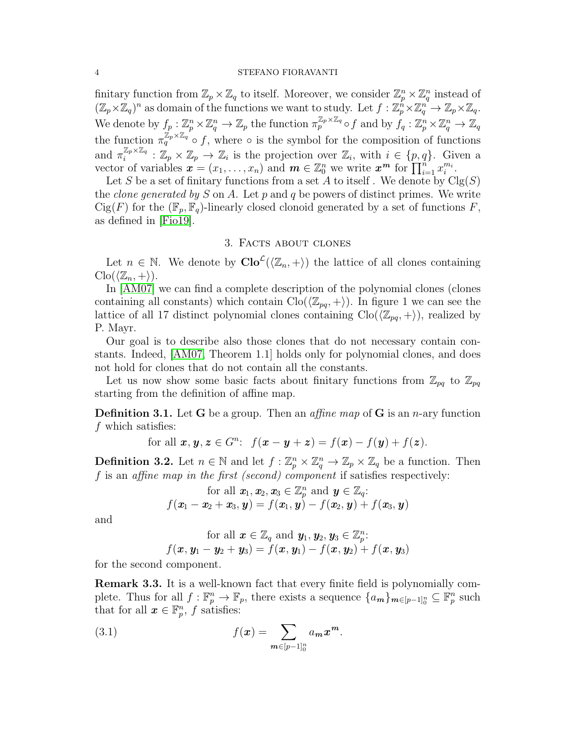finitary function from  $\mathbb{Z}_p \times \mathbb{Z}_q$  to itself. Moreover, we consider  $\mathbb{Z}_p^n \times \mathbb{Z}_q^n$  instead of  $(\mathbb{Z}_p\times\mathbb{Z}_q)^n$  as domain of the functions we want to study. Let  $f:\mathbb{Z}_p^n\times\mathbb{Z}_q^n\to\mathbb{Z}_p\times\mathbb{Z}_q$ . We denote by  $f_p: \mathbb{Z}_p^n \times \mathbb{Z}_q^n \to \mathbb{Z}_p$  the function  $\pi_p^{\mathbb{Z}_p \times \mathbb{Z}_q} \circ f$  and by  $f_q: \mathbb{Z}_p^n \times \mathbb{Z}_q^n \to \mathbb{Z}_q$ the function  $\pi_q^{\mathbb{Z}_p \times \mathbb{Z}_q}$  of, where  $\circ$  is the symbol for the composition of functions and  $\pi_i^{\mathbb{Z}_p \times \mathbb{Z}_q}$  $\mathbb{Z}_p^{\times_{\mathbb{Z}_q}} : \mathbb{Z}_p \times \mathbb{Z}_p \to \mathbb{Z}_i$  is the projection over  $\mathbb{Z}_i$ , with  $i \in \{p,q\}$ . Given a vector of variables  $\mathbf{x} = (x_1, \ldots, x_n)$  and  $\mathbf{m} \in \mathbb{Z}_0^n$  we write  $\mathbf{x}^{\mathbf{m}}$  for  $\prod_{i=1}^n x_i^{m_i}$ .

Let S be a set of finitary functions from a set A to itself. We denote by  $Clg(S)$ the *clone generated by* S on A. Let  $p$  and  $q$  be powers of distinct primes. We write  $Cig(F)$  for the  $(\mathbb{F}_n, \mathbb{F}_q)$ -linearly closed clonoid generated by a set of functions F, as defined in [\[Fio19\]](#page-22-0).

## 3. Facts about clones

Let  $n \in \mathbb{N}$ . We denote by  $\text{Clo}^{\mathcal{L}}(\langle \mathbb{Z}_n, + \rangle)$  the lattice of all clones containing  $\text{Clo}(\langle \mathbb{Z}_n, +\rangle).$ 

In [\[AM07\]](#page-22-8) we can find a complete description of the polynomial clones (clones containing all constants) which contain  $\text{Clo}(\langle \mathbb{Z}_{pq}, + \rangle)$ . In figure 1 we can see the lattice of all 17 distinct polynomial clones containing  $\text{Clo}(\langle \mathbb{Z}_{pq}, +\rangle)$ , realized by P. Mayr.

Our goal is to describe also those clones that do not necessary contain constants. Indeed, [\[AM07,](#page-22-8) Theorem 1.1] holds only for polynomial clones, and does not hold for clones that do not contain all the constants.

Let us now show some basic facts about finitary functions from  $\mathbb{Z}_{pa}$  to  $\mathbb{Z}_{pa}$ starting from the definition of affine map.

**Definition 3.1.** Let **G** be a group. Then an *affine map* of **G** is an *n*-ary function f which satisfies:

for all  $x, y, z \in G^n$ :  $f(x - y + z) = f(x) - f(y) + f(z)$ .

<span id="page-3-0"></span>**Definition 3.2.** Let  $n \in \mathbb{N}$  and let  $f: \mathbb{Z}_p^n \times \mathbb{Z}_q^n \to \mathbb{Z}_p \times \mathbb{Z}_q$  be a function. Then f is an affine map in the first (second) component if satisfies respectively:

for all 
$$
\mathbf{x}_1, \mathbf{x}_2, \mathbf{x}_3 \in \mathbb{Z}_p^n
$$
 and  $\mathbf{y} \in \mathbb{Z}_q$ :  

$$
f(\mathbf{x}_1 - \mathbf{x}_2 + \mathbf{x}_3, \mathbf{y}) = f(\mathbf{x}_1, \mathbf{y}) - f(\mathbf{x}_2, \mathbf{y}) + f(\mathbf{x}_3, \mathbf{y})
$$

and

for all 
$$
\mathbf{x} \in \mathbb{Z}_q
$$
 and  $\mathbf{y}_1, \mathbf{y}_2, \mathbf{y}_3 \in \mathbb{Z}_p^n$ :  

$$
f(\mathbf{x}, \mathbf{y}_1 - \mathbf{y}_2 + \mathbf{y}_3) = f(\mathbf{x}, \mathbf{y}_1) - f(\mathbf{x}, \mathbf{y}_2) + f(\mathbf{x}, \mathbf{y}_3)
$$

for the second component.

<span id="page-3-1"></span>Remark 3.3. It is a well-known fact that every finite field is polynomially complete. Thus for all  $f: \mathbb{F}_p^n \to \mathbb{F}_p$ , there exists a sequence  $\{a_m\}_{m \in [p-1]_0^n} \subseteq \mathbb{F}_p^n$  such that for all  $x \in \mathbb{F}_p^n$ , f satisfies:

(3.1) 
$$
f(x) = \sum_{m \in [p-1]_0^n} a_m x^m.
$$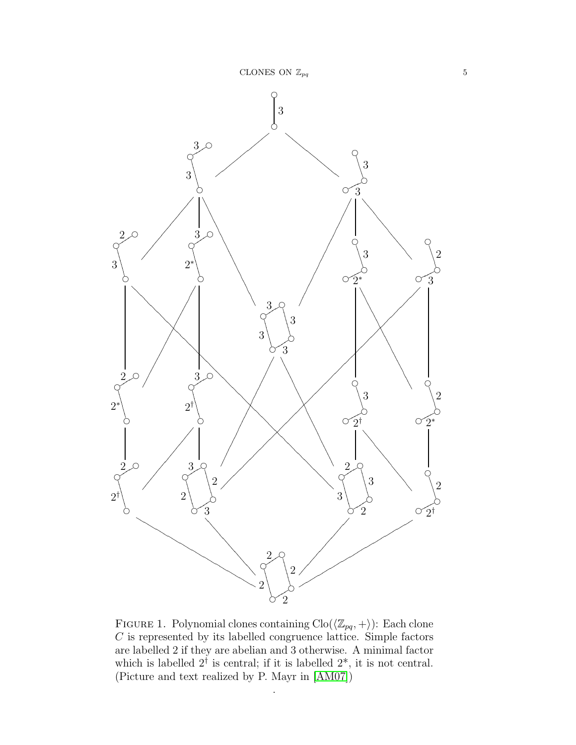

FIGURE 1. Polynomial clones containing  $\text{Clo}(\langle \mathbb{Z}_{pq}, + \rangle)$ : Each clone  $C$  is represented by its labelled congruence lattice. Simple factors are labelled 2 if they are abelian and 3 otherwise. A minimal factor which is labelled  $2^{\dagger}$  is central; if it is labelled  $2^*$ , it is not central. (Picture and text realized by P. Mayr in [\[AM07\]](#page-22-8))

.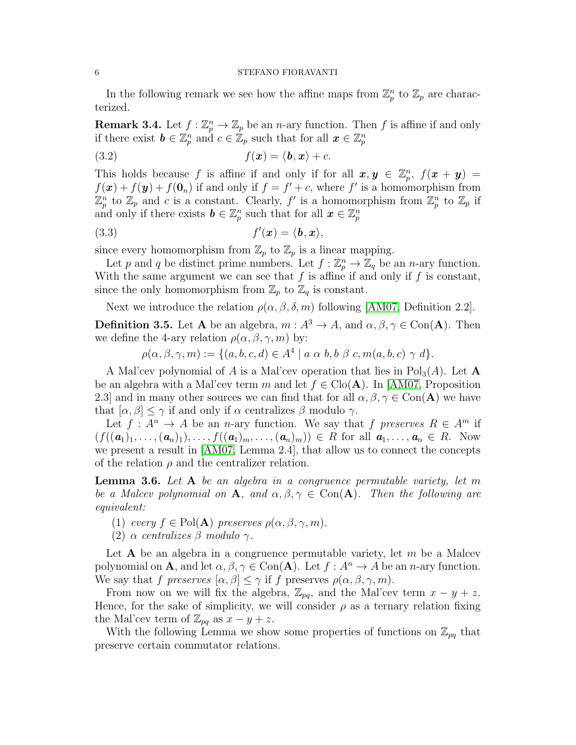In the following remark we see how the affine maps from  $\mathbb{Z}_p^n$  to  $\mathbb{Z}_p$  are characterized.

<span id="page-5-1"></span>**Remark 3.4.** Let  $f : \mathbb{Z}_p^n \to \mathbb{Z}_p$  be an *n*-ary function. Then f is affine if and only if there exist  $\mathbf{b} \in \mathbb{Z}_p^n$  and  $c \in \mathbb{Z}_p$  such that for all  $\mathbf{x} \in \mathbb{Z}_p^n$ 

$$
(3.2) \t\t f(\mathbf{x}) = \langle \mathbf{b}, \mathbf{x} \rangle + c.
$$

This holds because f is affine if and only if for all  $x, y \in \mathbb{Z}_p^n$ ,  $f(x + y) =$  $f(\mathbf{x}) + f(\mathbf{y}) + f(\mathbf{0}_n)$  if and only if  $f = f' + c$ , where f' is a homomorphism from  $\mathbb{Z}_p^n$  to  $\mathbb{Z}_p$  and c is a constant. Clearly, f' is a homomorphism from  $\mathbb{Z}_p^n$  to  $\mathbb{Z}_p$  if and only if there exists  $\mathbf{b} \in \mathbb{Z}_p^n$  such that for all  $\mathbf{x} \in \mathbb{Z}_p^n$ 

$$
(3.3) \t\t f'(\boldsymbol{x}) = \langle \boldsymbol{b}, \boldsymbol{x} \rangle,
$$

since every homomorphism from  $\mathbb{Z}_p$  to  $\mathbb{Z}_p$  is a linear mapping.

Let p and q be distinct prime numbers. Let  $f : \mathbb{Z}_p^n \to \mathbb{Z}_q$  be an n-ary function. With the same argument we can see that  $f$  is affine if and only if  $f$  is constant, since the only homomorphism from  $\mathbb{Z}_p$  to  $\mathbb{Z}_q$  is constant.

Next we introduce the relation  $\rho(\alpha, \beta, \delta, m)$  following [\[AM07,](#page-22-8) Definition 2.2].

<span id="page-5-0"></span>**Definition 3.5.** Let **A** be an algebra,  $m : A^3 \to A$ , and  $\alpha, \beta, \gamma \in \text{Con}(\mathbf{A})$ . Then we define the 4-ary relation  $\rho(\alpha, \beta, \gamma, m)$  by:

 $\rho(\alpha, \beta, \gamma, m) := \{ (a, b, c, d) \in A^4 \mid a \alpha b, b \beta c, m(a, b, c) \gamma d \}.$ 

A Mal'cev polynomial of A is a Mal'cev operation that lies in  $Pol<sub>3</sub>(A)$ . Let A be an algebra with a Mal'cev term m and let  $f \in \text{Clo}(\mathbf{A})$ . In [\[AM07,](#page-22-8) Proposition 2.3] and in many other sources we can find that for all  $\alpha, \beta, \gamma \in Con(\mathbf{A})$  we have that  $[\alpha, \beta] \leq \gamma$  if and only if  $\alpha$  centralizes  $\beta$  modulo  $\gamma$ .

Let  $f: A^n \to A$  be an *n*-ary function. We say that f preserves  $R \in A^m$  if  $(f((a_1)_1, \ldots, (a_n)_1), \ldots, f((a_1)_m, \ldots, (a_n)_m)) \in R$  for all  $a_1, \ldots, a_n \in R$ . Now we present a result in [\[AM07,](#page-22-8) Lemma 2.4], that allow us to connect the concepts of the relation  $\rho$  and the centralizer relation.

Lemma 3.6. Let A be an algebra in a congruence permutable variety, let m be a Malcev polynomial on A, and  $\alpha, \beta, \gamma \in \text{Con}(\mathbf{A})$ . Then the following are equivalent:

- (1) every  $f \in Pol(A)$  preserves  $\rho(\alpha, \beta, \gamma, m)$ .
- (2)  $\alpha$  centralizes  $\beta$  modulo  $\gamma$ .

Let  $A$  be an algebra in a congruence permutable variety, let  $m$  be a Malcev polynomial on **A**, and let  $\alpha, \beta, \gamma \in \text{Con}(\mathbf{A})$ . Let  $f : A^n \to A$  be an *n*-ary function. We say that f preserves  $[\alpha, \beta] \leq \gamma$  if f preserves  $\rho(\alpha, \beta, \gamma, m)$ .

From now on we will fix the algebra,  $\mathbb{Z}_{pq}$ , and the Mal'cev term  $x - y + z$ . Hence, for the sake of simplicity, we will consider  $\rho$  as a ternary relation fixing the Mal'cev term of  $\mathbb{Z}_{pq}$  as  $x - y + z$ .

With the following Lemma we show some properties of functions on  $\mathbb{Z}_{pq}$  that preserve certain commutator relations.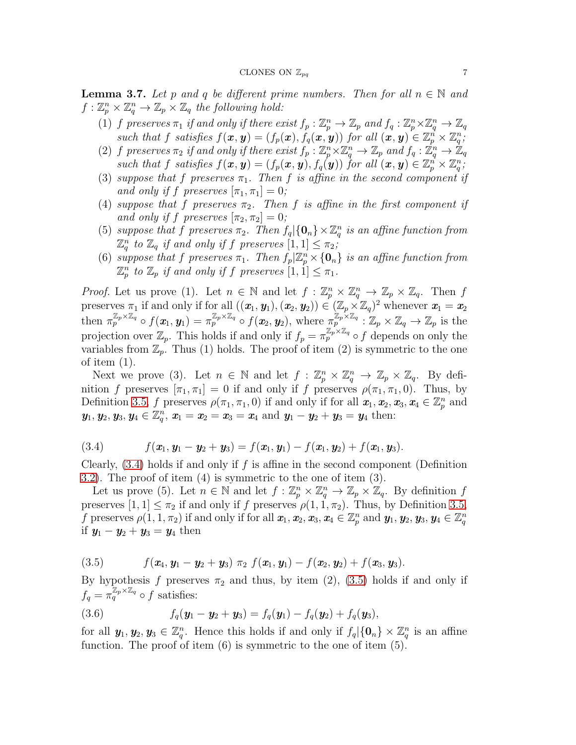<span id="page-6-2"></span>**Lemma 3.7.** Let p and q be different prime numbers. Then for all  $n \in \mathbb{N}$  and  $f: \mathbb{Z}_p^n \times \mathbb{Z}_q^n \to \mathbb{Z}_p \times \mathbb{Z}_q$  the following hold:

- (1) f preserves  $\pi_1$  if and only if there exist  $f_p : \mathbb{Z}_p^n \to \mathbb{Z}_p$  and  $f_q : \mathbb{Z}_p^n \times \mathbb{Z}_q^n \to \mathbb{Z}_q$ such that f satisfies  $f(x, y) = (f_p(x), \dot{f}_q(x, y))$  for all  $(x, y) \in \mathbb{Z}_p^n \times \mathbb{Z}_q^n$ ,
- (2) f preserves  $\pi_2$  if and only if there exist  $f_p : \mathbb{Z}_p^n \times \mathbb{Z}_q^n \to \mathbb{Z}_p$  and  $f_q : \mathbb{Z}_q^n \to \mathbb{Z}_q$ such that f satisfies  $f(x, y) = (f_p(x, y), f_q(y))$  for all  $(x, y) \in \mathbb{Z}_p^n \times \mathbb{Z}_q^n$ ;
- (3) suppose that f preserves  $\pi_1$ . Then f is affine in the second component if and only if f preserves  $[\pi_1, \pi_1] = 0$ ;
- (4) suppose that f preserves  $\pi_2$ . Then f is affine in the first component if and only if f preserves  $[\pi_2, \pi_2] = 0$ ;
- (5) suppose that f preserves  $\pi_2$ . Then  $f_q | \{0_n\} \times \mathbb{Z}_q^n$  is an affine function from  $\mathbb{Z}_q^n$  to  $\mathbb{Z}_q$  if and only if f preserves  $[1,1] \leq \pi_2$ ;
- (6) suppose that f preserves  $\pi_1$ . Then  $f_p | \mathbb{Z}_p^n \times \{0_n\}$  is an affine function from  $\mathbb{Z}_p^n$  to  $\mathbb{Z}_p$  if and only if f preserves  $[1,1] \leq \pi_1$ .

*Proof.* Let us prove (1). Let  $n \in \mathbb{N}$  and let  $f : \mathbb{Z}_p^n \times \mathbb{Z}_q^n \to \mathbb{Z}_p \times \mathbb{Z}_q$ . Then f preserves  $\pi_1$  if and only if for all  $((x_1, y_1), (x_2, y_2)) \in (\mathbb{Z}_p \times \mathbb{Z}_q)^2$  whenever  $x_1 = x_2$ then  $\pi_p^{\mathbb{Z}_p \times \mathbb{Z}_q} \circ f(x_1, y_1) = \pi_p^{\mathbb{Z}_p \times \mathbb{Z}_q} \circ f(x_2, y_2)$ , where  $\pi_p^{\mathbb{Z}_p \times \mathbb{Z}_q} : \mathbb{Z}_p \times \mathbb{Z}_q \to \mathbb{Z}_p$  is the projection over  $\mathbb{Z}_p$ . This holds if and only if  $f_p = \pi_p^{\mathbb{Z}_p \times \mathbb{Z}_q} \circ f$  depends on only the variables from  $\mathbb{Z}_p$ . Thus (1) holds. The proof of item (2) is symmetric to the one of item  $(1)$ .

Next we prove (3). Let  $n \in \mathbb{N}$  and let  $f: \mathbb{Z}_p^n \times \mathbb{Z}_q^n \to \mathbb{Z}_p \times \mathbb{Z}_q$ . By definition f preserves  $[\pi_1, \pi_1] = 0$  if and only if f preserves  $\rho(\pi_1, \pi_1, 0)$ . Thus, by Definition [3.5,](#page-5-0) f preserves  $\rho(\pi_1, \pi_1, 0)$  if and only if for all  $x_1, x_2, x_3, x_4 \in \mathbb{Z}_p^n$  and  $y_1, y_2, y_3, y_4 \in \mathbb{Z}_q^n, x_1 = x_2 = x_3 = x_4 \text{ and } y_1 - y_2 + y_3 = y_4 \text{ then:}$ 

<span id="page-6-0"></span>(3.4) 
$$
f(\mathbf{x}_1, \mathbf{y}_1 - \mathbf{y}_2 + \mathbf{y}_3) = f(\mathbf{x}_1, \mathbf{y}_1) - f(\mathbf{x}_1, \mathbf{y}_2) + f(\mathbf{x}_1, \mathbf{y}_3).
$$

Clearly,  $(3.4)$  holds if and only if f is affine in the second component (Definition [3.2\)](#page-3-0). The proof of item (4) is symmetric to the one of item (3).

Let us prove (5). Let  $n \in \mathbb{N}$  and let  $f: \mathbb{Z}_p^n \times \mathbb{Z}_q^n \to \mathbb{Z}_p \times \mathbb{Z}_q$ . By definition f preserves  $[1, 1] \leq \pi_2$  if and only if f preserves  $\rho(1, 1, \pi_2)$ . Thus, by Definition [3.5,](#page-5-0) f preserves  $\rho(1,1,\pi_2)$  if and only if for all  $\pmb{x}_1,\pmb{x}_2,\pmb{x}_3,\pmb{x}_4\in\mathbb{Z}_p^n$  and  $\pmb{y}_1,\pmb{y}_2,\pmb{y}_3,\pmb{y}_4\in\mathbb{Z}_q^n$ if  $y_1 - y_2 + y_3 = y_4$  then

<span id="page-6-1"></span>(3.5) 
$$
f(\mathbf{x}_4,\mathbf{y}_1-\mathbf{y}_2+\mathbf{y}_3)\pi_2 f(\mathbf{x}_1,\mathbf{y}_1)-f(\mathbf{x}_2,\mathbf{y}_2)+f(\mathbf{x}_3,\mathbf{y}_3).
$$

By hypothesis f preserves  $\pi_2$  and thus, by item (2), [\(3.5\)](#page-6-1) holds if and only if  $f_q = \pi_q^{\mathbb{Z}_p \times \mathbb{Z}_q} \circ f$  satisfies:

(3.6) 
$$
f_q(\mathbf{y}_1 - \mathbf{y}_2 + \mathbf{y}_3) = f_q(\mathbf{y}_1) - f_q(\mathbf{y}_2) + f_q(\mathbf{y}_3),
$$

for all  $y_1, y_2, y_3 \in \mathbb{Z}_q^n$ . Hence this holds if and only if  $f_q$  $\{0_n\} \times \mathbb{Z}_q^n$  is an affine function. The proof of item  $(6)$  is symmetric to the one of item  $(5)$ .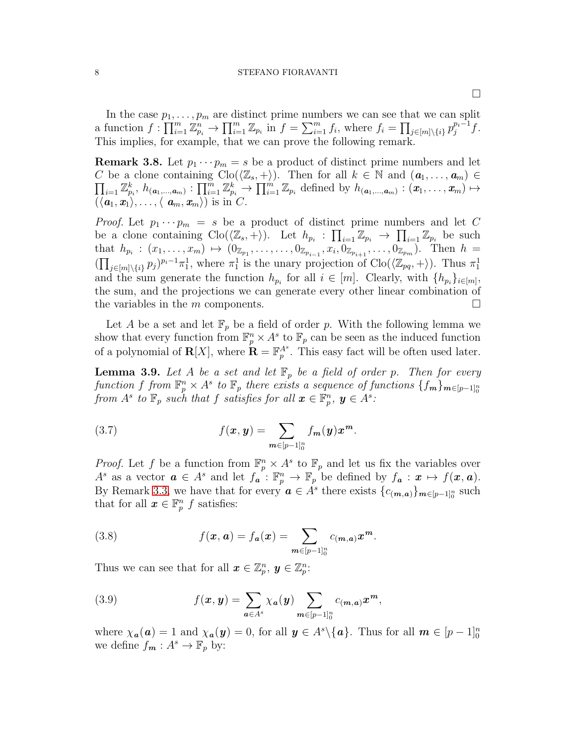In the case  $p_1, \ldots, p_m$  are distinct prime numbers we can see that we can split a function  $f: \prod_{i=1}^m \mathbb{Z}_{p_i}^n \to \prod_{i=1}^m \mathbb{Z}_{p_i}$  in  $f = \sum_{i=1}^m f_i$ , where  $f_i = \prod_{j \in [m] \setminus \{i\}} p_j^{p_i-1} f$ . This implies, for example, that we can prove the following remark.

<span id="page-7-0"></span>**Remark 3.8.** Let  $p_1 \cdots p_m = s$  be a product of distinct prime numbers and let  $\prod_{i=1} \mathbb{Z}_{p_i}^k$ ,  $h_{(a_1,...,a_m)}: \prod_{i=1}^m \mathbb{Z}_{p_i}^k \to \prod_{i=1}^m \mathbb{Z}_{p_i}$  defined by  $h_{(a_1,...,a_m)}: (x_1,...,x_m) \mapsto$ C be a clone containing  $\text{Clo}(\langle \mathbb{Z}_s, +\rangle)$ . Then for all  $k \in \mathbb{N}$  and  $(a_1, \ldots, a_m) \in$  $(\langle \boldsymbol{a}_1, \boldsymbol{x}_1 \rangle, \ldots, \langle \boldsymbol{a}_m, \boldsymbol{x}_m \rangle)$  is in C.

*Proof.* Let  $p_1 \cdots p_m = s$  be a product of distinct prime numbers and let C be a clone containing  $\text{Clo}(\langle \mathbb{Z}_s, + \rangle)$ . Let  $h_{p_i}: \prod_{i=1} \mathbb{Z}_{p_i} \to \prod_{i=1} \mathbb{Z}_{p_i}$  be such that  $h_{p_i} : (x_1, \ldots, x_m) \mapsto (0_{\mathbb{Z}_{p_1}}, \ldots, \ldots, 0_{\mathbb{Z}_{p_{i-1}}}, x_i, 0_{\mathbb{Z}_{p_{i+1}}}, \ldots, 0_{\mathbb{Z}_{p_m}}).$  Then  $h =$  $(\prod_{j\in[m]\backslash\{i\}} p_j)^{p_i-1}\pi_1^1$ , where  $\pi_1^1$  is the unary projection of Clo $(\langle \mathbb{Z}_{pq}, + \rangle)$ . Thus  $\pi_1^1$ and the sum generate the function  $h_{p_i}$  for all  $i \in [m]$ . Clearly, with  $\{h_{p_i}\}_{i \in [m]}$ , the sum, and the projections we can generate every other linear combination of the variables in the m components.  $\square$ 

Let A be a set and let  $\mathbb{F}_p$  be a field of order p. With the following lemma we show that every function from  $\mathbb{F}_p^n \times A^s$  to  $\mathbb{F}_p$  can be seen as the induced function of a polynomial of  $\mathbf{R}[X]$ , where  $\mathbf{R} = \mathbb{F}_p^{A^s}$ . This easy fact will be often used later.

**Lemma 3.9.** Let A be a set and let  $\mathbb{F}_p$  be a field of order p. Then for every function f from  $\mathbb{F}_p^n \times A^s$  to  $\mathbb{F}_p$  there exists a sequence of functions  $\{f_m\}_{m \in [p-1]_0^n}$ from  $A^s$  to  $\mathbb{F}_p$  such that f satisfies for all  $\boldsymbol{x} \in \mathbb{F}_p^n$ ,  $\boldsymbol{y} \in A^s$ .

(3.7) 
$$
f(x, y) = \sum_{m \in [p-1]_0^n} f_m(y) x^m.
$$

*Proof.* Let f be a function from  $\mathbb{F}_p^n \times A^s$  to  $\mathbb{F}_p$  and let us fix the variables over  $A^s$  as a vector  $\boldsymbol{a} \in A^s$  and let  $f_{\boldsymbol{a}} : \mathbb{F}_p^n \to \mathbb{F}_p$  be defined by  $f_{\boldsymbol{a}} : \boldsymbol{x} \mapsto f(\boldsymbol{x}, \boldsymbol{a})$ . By Remark [3.3,](#page-3-1) we have that for every  $a \in A^s$  there exists  ${c_{(m,a)}}_{m \in [p-1]_0^n}$  such that for all  $\boldsymbol{x} \in \mathbb{F}_p^n$  f satisfies:

(3.8) 
$$
f(x, a) = f_a(x) = \sum_{m \in [p-1]_0^n} c_{(m,a)} x^m.
$$

Thus we can see that for all  $\boldsymbol{x} \in \mathbb{Z}_p^n$ ,  $\boldsymbol{y} \in \mathbb{Z}_p^n$ :

(3.9) 
$$
f(x, y) = \sum_{a \in A^s} \chi_a(y) \sum_{m \in [p-1]_0^n} c_{(m, a)} x^m,
$$

where  $\chi_a(\mathbf{a}) = 1$  and  $\chi_a(\mathbf{y}) = 0$ , for all  $\mathbf{y} \in A^s \setminus \{ \mathbf{a} \}$ . Thus for all  $\mathbf{m} \in [p-1]_0^n$ we define  $f_m: A^s \to \mathbb{F}_p$  by: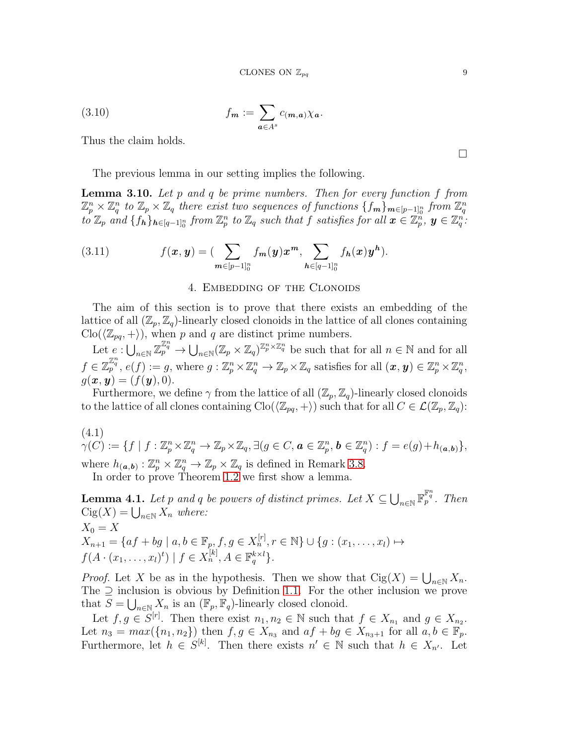(3.10) 
$$
f_m := \sum_{a \in A^s} c_{(m,a)} \chi_a.
$$

Thus the claim holds.

The previous lemma in our setting implies the following.

**Lemma 3.10.** Let p and q be prime numbers. Then for every function f from  $\mathbb{Z}_p^n\times\mathbb{Z}_q^n$  to  $\mathbb{Z}_p\times\mathbb{Z}_q$  there exist two sequences of functions  $\{f_m\}_{m\in[p-1]_0^n}$  from  $\mathbb{Z}_q^n$  $to \mathbb{Z}_p$  and  $\{f_h\}_{h\in[q-1]_0^n}$  from  $\mathbb{Z}_p^n$  to  $\mathbb{Z}_q$  such that  $f$  satisfies for all  $\boldsymbol{x}\in\mathbb{Z}_p^n$ ,  $\boldsymbol{y}\in\mathbb{Z}_q^n$ .

<span id="page-8-0"></span>(3.11) 
$$
f(x, y) = \left(\sum_{m \in [p-1]_0^n} f_m(y) x^m, \sum_{h \in [q-1]_0^n} f_h(x) y^h\right).
$$

#### 4. Embedding of the Clonoids

The aim of this section is to prove that there exists an embedding of the lattice of all  $(\mathbb{Z}_p, \mathbb{Z}_q)$ -linearly closed clonoids in the lattice of all clones containing  $\text{Clo}(\langle \mathbb{Z}_{pq}, +\rangle)$ , when p and q are distinct prime numbers.

Let  $e: \bigcup_{n\in\mathbb{N}} \mathbb{Z}_{p}^{\mathbb{Z}_{q}^{n}} \to \bigcup_{n\in\mathbb{N}} (\mathbb{Z}_{p} \times \mathbb{Z}_{q})^{\mathbb{Z}_{p}^{n} \times \mathbb{Z}_{q}^{n}}$  be such that for all  $n \in \mathbb{N}$  and for all  $f \in \mathbb{Z}_p^{\mathbb{Z}_q^n}$ ,  $e(f) := g$ , where  $g: \mathbb{Z}_p^n \times \mathbb{Z}_q^n \to \mathbb{Z}_p \times \mathbb{Z}_q$  satisfies for all  $(\boldsymbol{x}, \boldsymbol{y}) \in \mathbb{Z}_p^n \times \mathbb{Z}_q^n$ ,  $g(x, y) = (f(y), 0).$ 

Furthermore, we define  $\gamma$  from the lattice of all  $(\mathbb{Z}_p, \mathbb{Z}_q)$ -linearly closed clonoids to the lattice of all clones containing  $\text{Clo}(\langle \mathbb{Z}_{pq}, +\rangle)$  such that for all  $C \in \mathcal{L}(\mathbb{Z}_p, \mathbb{Z}_q)$ :

<span id="page-8-1"></span>(4.1)  $\gamma(C) := \{f \mid f : \mathbb{Z}_p^n \times \mathbb{Z}_q^n \to \mathbb{Z}_p \times \mathbb{Z}_q, \exists (g \in C, \mathbf{a} \in \mathbb{Z}_p^n, \mathbf{b} \in \mathbb{Z}_q^n) : f = e(g) + h_{(\mathbf{a},\mathbf{b})}\},$ 

where  $h_{(a,b)} : \mathbb{Z}_p^n \times \mathbb{Z}_q^n \to \mathbb{Z}_p \times \mathbb{Z}_q$  is defined in Remark [3.8.](#page-7-0) In order to prove Theorem [1.2](#page-1-1) we first show a lemma.

<span id="page-8-2"></span>**Lemma 4.1.** Let p and q be powers of distinct primes. Let  $X \subseteq \bigcup_{n\in\mathbb{N}} \mathbb{F}_{p}^{\mathbb{F}_{q}^{n}}$ . Then  $\operatorname{Cig}(X) = \bigcup_{n \in \mathbb{N}} X_n$  where:  $X_0 = X$  $X_{n+1} = \{af + bg \mid a, b \in \mathbb{F}_p, f, g \in X_n^{[r]}, r \in \mathbb{N}\} \cup \{g : (x_1, \ldots, x_l) \mapsto$  $f(A \cdot (x_1, ..., x_l)^t) | f \in X_n^{[k]}, A \in \mathbb{F}_q^{k \times l}$ .

*Proof.* Let X be as in the hypothesis. Then we show that  $Cig(X) = \bigcup_{n \in \mathbb{N}} X_n$ . The  $\supseteq$  inclusion is obvious by Definition [1.1.](#page-1-2) For the other inclusion we prove that  $S = \bigcup_{n \in \mathbb{N}} X_n$  is an  $(\mathbb{F}_p, \mathbb{F}_q)$ -linearly closed clonoid.

Let  $f, g \in S^{[r]}$ . Then there exist  $n_1, n_2 \in \mathbb{N}$  such that  $f \in X_{n_1}$  and  $g \in X_{n_2}$ . Let  $n_3 = max({n_1, n_2})$  then  $f, g \in X_{n_3}$  and  $af + bg \in X_{n_3+1}$  for all  $a, b \in \mathbb{F}_p$ . Furthermore, let  $h \in S^{[k]}$ . Then there exists  $n' \in \mathbb{N}$  such that  $h \in X_{n'}$ . Let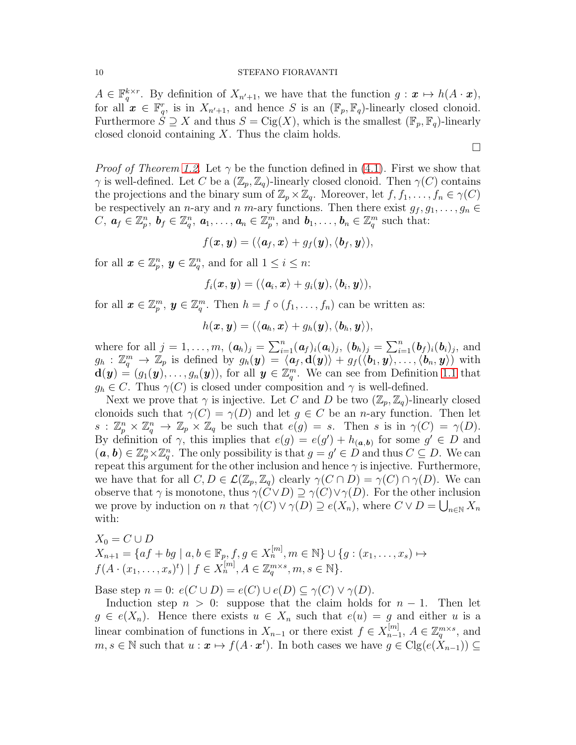$A \in \mathbb{F}_q^{k \times r}$ . By definition of  $X_{n'+1}$ , we have that the function  $g: \mathbf{x} \mapsto h(A \cdot \mathbf{x})$ , for all  $\mathbf{x} \in \mathbb{F}_q^r$ , is in  $X_{n'+1}$ , and hence S is an  $(\mathbb{F}_p, \mathbb{F}_q)$ -linearly closed clonoid. Furthermore  $S \supseteq X$  and thus  $S = \text{Cig}(X)$ , which is the smallest  $(\mathbb{F}_p, \mathbb{F}_q)$ -linearly closed clonoid containing  $X$ . Thus the claim holds.

*Proof of Theorem [1.2.](#page-1-1)* Let  $\gamma$  be the function defined in [\(4.1\)](#page-8-1). First we show that  $\gamma$  is well-defined. Let C be a  $(\mathbb{Z}_p, \mathbb{Z}_q)$ -linearly closed clonoid. Then  $\gamma(C)$  contains the projections and the binary sum of  $\mathbb{Z}_p\times\mathbb{Z}_q$ . Moreover, let  $f, f_1, \ldots, f_n \in \gamma(C)$ be respectively an *n*-ary and *n m*-ary functions. Then there exist  $g_f, g_1, \ldots, g_n \in$  $C, a_f \in \mathbb{Z}_p^n, b_f \in \mathbb{Z}_q^n, a_1, \ldots, a_n \in \mathbb{Z}_p^m$ , and  $b_1, \ldots, b_n \in \mathbb{Z}_q^m$  such that:

$$
f(\pmb{x},\pmb{y})=(\langle \pmb{a}_f,\pmb{x}\rangle+g_f(\pmb{y}),\langle \pmb{b}_f,\pmb{y}\rangle),
$$

for all  $\boldsymbol{x} \in \mathbb{Z}_p^n$ ,  $\boldsymbol{y} \in \mathbb{Z}_q^n$ , and for all  $1 \leq i \leq n$ :

$$
f_i(\boldsymbol{x},\boldsymbol{y}) = (\langle \boldsymbol{a}_i, \boldsymbol{x}\rangle + g_i(\boldsymbol{y}), \langle \boldsymbol{b}_i, \boldsymbol{y}\rangle),
$$

for all  $\boldsymbol{x} \in \mathbb{Z}_p^m$ ,  $\boldsymbol{y} \in \mathbb{Z}_q^m$ . Then  $h = f \circ (f_1, \ldots, f_n)$  can be written as:

$$
h(\boldsymbol{x},\boldsymbol{y})=(\langle \boldsymbol{a}_h,\boldsymbol{x}\rangle+g_h(\boldsymbol{y}),\langle \boldsymbol{b}_h,\boldsymbol{y}\rangle),
$$

where for all  $j = 1, ..., m$ ,  $(a_h)_j = \sum_{i=1}^n (a_f)_i(a_i)_j$ ,  $(b_h)_j = \sum_{i=1}^n (b_f)_i(b_i)_j$ , and  $g_h : \mathbb{Z}_q^m \to \mathbb{Z}_p$  is defined by  $g_h(\mathbf{y}) = \langle \mathbf{a}_f, \mathbf{d}(\mathbf{y}) \rangle + g_f(\langle \mathbf{b}_1, \mathbf{y} \rangle, \dots, \langle \mathbf{b}_n, \mathbf{y} \rangle)$  with  $\mathbf{d}(\boldsymbol{y}) = (g_1(\boldsymbol{y}), \dots, g_n(\boldsymbol{y})),$  for all  $\boldsymbol{y} \in \mathbb{Z}_q^m$ . We can see from Definition [1.1](#page-1-2) that  $g_h \in C$ . Thus  $\gamma(C)$  is closed under composition and  $\gamma$  is well-defined.

Next we prove that  $\gamma$  is injective. Let C and D be two  $(\mathbb{Z}_p, \mathbb{Z}_q)$ -linearly closed clonoids such that  $\gamma(C) = \gamma(D)$  and let  $g \in C$  be an *n*-ary function. Then let  $s: \mathbb{Z}_p^n \times \mathbb{Z}_q^n \to \mathbb{Z}_p \times \mathbb{Z}_q$  be such that  $e(g) = s$ . Then s is in  $\gamma(C) = \gamma(D)$ . By definition of  $\gamma$ , this implies that  $e(g) = e(g') + h_{(a,b)}$  for some  $g' \in D$  and  $(a, b) \in \mathbb{Z}_p^n \times \mathbb{Z}_q^n$ . The only possibility is that  $g = g' \in D$  and thus  $C \subseteq D$ . We can repeat this argument for the other inclusion and hence  $\gamma$  is injective. Furthermore, we have that for all  $C, D \in \mathcal{L}(\mathbb{Z}_p, \mathbb{Z}_q)$  clearly  $\gamma(C \cap D) = \gamma(C) \cap \gamma(D)$ . We can observe that  $\gamma$  is monotone, thus  $\gamma(C \vee D) \supseteq \gamma(C) \vee \gamma(D)$ . For the other inclusion we prove by induction on n that  $\gamma(C) \vee \gamma(D) \supseteq e(X_n)$ , where  $C \vee D = \bigcup_{n \in \mathbb{N}} X_n$ with:

$$
X_0 = C \cup D
$$
  
\n
$$
X_{n+1} = \{af + bg \mid a, b \in \mathbb{F}_p, f, g \in X_n^{[m]}, m \in \mathbb{N}\} \cup \{g : (x_1, \dots, x_s) \mapsto f(A \cdot (x_1, \dots, x_s)^t) \mid f \in X_n^{[m]}, A \in \mathbb{Z}_q^{m \times s}, m, s \in \mathbb{N}\}.
$$

Base step  $n = 0$ :  $e(C \cup D) = e(C) \cup e(D) \subseteq \gamma(C) \vee \gamma(D)$ .

Induction step  $n > 0$ : suppose that the claim holds for  $n - 1$ . Then let  $g \in e(X_n)$ . Hence there exists  $u \in X_n$  such that  $e(u) = g$  and either u is a linear combination of functions in  $X_{n-1}$  or there exist  $f \in X_{n-1}^{[m]}$ <sup>[m]</sup><sub>n−1</sub>,  $A \in \mathbb{Z}_q^{m \times s}$ , and  $m, s \in \mathbb{N}$  such that  $u : \pmb{x} \mapsto f(A \cdot \pmb{x}^t)$ . In both cases we have  $g \in \text{Clg}(e(\hat{X}_{n-1})) \subseteq$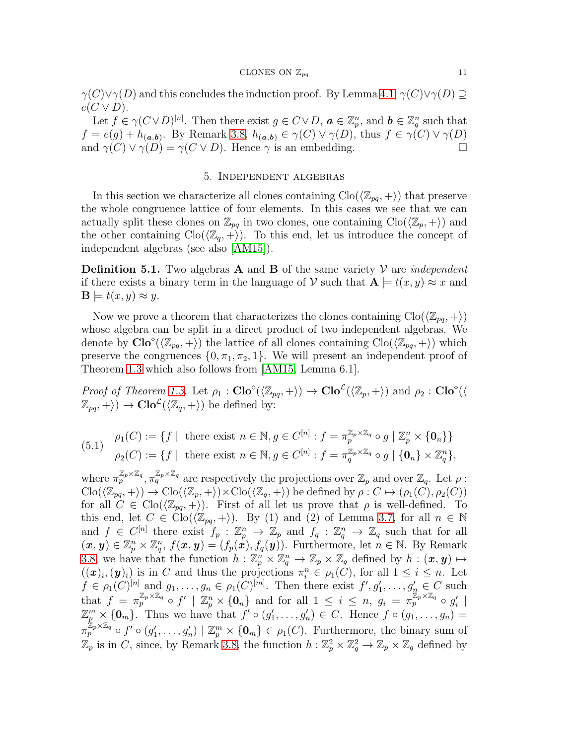#### CLONES ON  $\mathbb{Z}_{pq}$  11

 $\gamma(C)\vee\gamma(D)$  and this concludes the induction proof. By Lemma [4.1,](#page-8-2)  $\gamma(C)\vee\gamma(D) \supseteq$  $e(C \vee D).$ 

Let  $f \in \gamma(C \vee D)^{[n]}$ . Then there exist  $g \in C \vee D$ ,  $a \in \mathbb{Z}_p^n$ , and  $b \in \mathbb{Z}_q^n$  such that  $f = e(g) + h_{(a,b)}$ . By Remark [3.8,](#page-7-0)  $h_{(a,b)} \in \gamma(C) \vee \gamma(D)$ , thus  $f \in \gamma(C) \vee \gamma(D)$ and  $\gamma(C) \vee \gamma(D) = \gamma(C \vee D)$ . Hence  $\gamma$  is an embedding.

## 5. Independent algebras

<span id="page-10-0"></span>In this section we characterize all clones containing  $\text{Clo}(\langle \mathbb{Z}_{pq}, +\rangle)$  that preserve the whole congruence lattice of four elements. In this cases we see that we can actually split these clones on  $\mathbb{Z}_{pq}$  in two clones, one containing  $\text{Clo}(\langle \mathbb{Z}_p, +\rangle)$  and the other containing  $\text{Clo}(\langle \mathbb{Z}_q, +\rangle)$ . To this end, let us introduce the concept of independent algebras (see also [\[AM15\]](#page-22-11)).

**Definition 5.1.** Two algebras **A** and **B** of the same variety  $V$  are *independent* if there exists a binary term in the language of V such that  $A \models t(x, y) \approx x$  and  $\mathbf{B} \models t(x, y) \approx y.$ 

Now we prove a theorem that characterizes the clones containing  $\text{Clo}(\langle \mathbb{Z}_{pq}, +\rangle)$ whose algebra can be split in a direct product of two independent algebras. We denote by  $\text{Clo}^{\diamond}(\langle \mathbb{Z}_{pq}, +\rangle)$  the lattice of all clones containing  $\text{Clo}(\langle \mathbb{Z}_{pq}, +\rangle)$  which preserve the congruences  $\{0, \pi_1, \pi_2, 1\}$ . We will present an independent proof of Theorem [1.3](#page-1-3) which also follows from [\[AM15,](#page-22-11) Lemma 6.1].

Proof of Theorem [1.3.](#page-1-3) Let  $\rho_1$ :  $\text{Clo}^{\diamond}(\langle \mathbb{Z}_{pq}, + \rangle) \to \text{Clo}^{\diamond}(\langle \mathbb{Z}_p, + \rangle)$  and  $\rho_2$ :  $\text{Clo}^{\diamond}(\langle \mathbb{Z}_{pq}, + \rangle)$  $(\mathbb{Z}_{pq}, +\rangle) \rightarrow \mathbf{Clo}^{\mathcal{L}}(\langle \mathbb{Z}_{q}, +\rangle)$  be defined by:

(5.1) 
$$
\rho_1(C) := \{ f \mid \text{ there exist } n \in \mathbb{N}, g \in C^{[n]} : f = \pi_p^{\mathbb{Z}_p \times \mathbb{Z}_q} \circ g \mid \mathbb{Z}_p^n \times \{0_n\} \}
$$

$$
\rho_2(C) := \{ f \mid \text{ there exist } n \in \mathbb{N}, g \in C^{[n]} : f = \pi_q^{\mathbb{Z}_p \times \mathbb{Z}_q} \circ g \mid \{0_n\} \times \mathbb{Z}_q^n \},
$$

where  $\pi_p^{\mathbb{Z}_p \times \mathbb{Z}_q}$ ,  $\pi_q^{\mathbb{Z}_p \times \mathbb{Z}_q}$  are respectively the projections over  $\mathbb{Z}_p$  and over  $\mathbb{Z}_q$ . Let  $\rho$ :  $\text{Clo}(\langle \mathbb{Z}_{pq}, + \rangle) \to \text{Clo}(\langle \mathbb{Z}_{p}, + \rangle) \times \text{Clo}(\langle \mathbb{Z}_{q}, + \rangle)$  be defined by  $\rho : C \mapsto (\rho_1(C), \rho_2(C))$ for all  $C \in \text{Clo}(\langle \mathbb{Z}_{pq}, + \rangle)$ . First of all let us prove that  $\rho$  is well-defined. To this end, let  $C \in \text{Clo}(\langle \mathbb{Z}_{pq}, + \rangle)$ . By (1) and (2) of Lemma [3.7,](#page-6-2) for all  $n \in \mathbb{N}$ and  $f \in C^{[n]}$  there exist  $f_p : \mathbb{Z}_p^n \to \mathbb{Z}_p$  and  $f_q : \mathbb{Z}_q^n \to \mathbb{Z}_q$  such that for all  $(\boldsymbol{x},\boldsymbol{y})\in\mathbb{Z}_p^n\times\mathbb{Z}_q^n$ ,  $f(\boldsymbol{x},\boldsymbol{y})=(f_p(\boldsymbol{x}),f_q(\boldsymbol{y}))$ . Furthermore, let  $n\in\mathbb{N}$ . By Remark [3.8,](#page-7-0) we have that the function  $h: \mathbb{Z}_p^n \times \mathbb{Z}_q^n \to \mathbb{Z}_p \times \mathbb{Z}_q$  defined by  $h: (\pmb{x}, \pmb{y}) \mapsto$  $((x)_i,(y)_i)$  is in C and thus the projections  $\pi_i^n \in \rho_1(C)$ , for all  $1 \leq i \leq n$ . Let  $f \in \rho_1(C)^{[n]}$  and  $g_1, \ldots, g_n \in \rho_1(C)^{[m]}$ . Then there exist  $f', g'_1, \ldots, g'_n \in C$  such that  $f = \pi_p^{\mathbb{Z}_p \times \mathbb{Z}_q} \circ f' \mid \mathbb{Z}_p^n \times \{0_n\}$  and for all  $1 \leq i \leq n, g_i = \pi_p^{\mathbb{Z}_p \times \mathbb{Z}_q} \circ g'_i \mid$  $\mathbb{Z}_p^m\times\{\mathbf{0}_m\}$ . Thus we have that  $f'\circ(g'_1,\ldots,g'_n)\in C$ . Hence  $f\circ(g_1,\ldots,g_n)=$  $\pi_p^{\mathbb{Z}_p \times \mathbb{Z}_q} \circ f' \circ (g_1', \ldots, g_n') \mid \mathbb{Z}_p^m \times \{0_m\} \in \rho_1(C)$ . Furthermore, the binary sum of  $\mathbb{Z}_p$  is in C, since, by Remark [3.8,](#page-7-0) the function  $h: \mathbb{Z}_p^2 \times \mathbb{Z}_q^2 \to \mathbb{Z}_p \times \mathbb{Z}_q$  defined by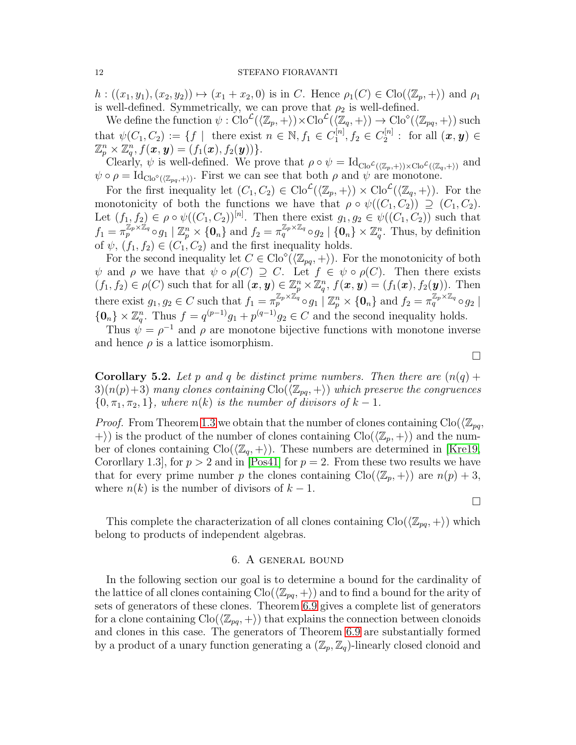$h: ((x_1, y_1), (x_2, y_2)) \mapsto (x_1 + x_2, 0)$  is in C. Hence  $\rho_1(C) \in \text{Clo}(\langle \mathbb{Z}_p, + \rangle)$  and  $\rho_1$ is well-defined. Symmetrically, we can prove that  $\rho_2$  is well-defined.

We define the function  $\psi : \text{Clo}^{\mathcal{L}}(\langle \mathbb{Z}_p, + \rangle) \times \text{Clo}^{\mathcal{L}}(\langle \mathbb{Z}_q, + \rangle) \to \text{Clo}^{\diamond}(\langle \mathbb{Z}_{pq}, + \rangle)$  such that  $\psi(C_1, C_2) := \{ f \mid \text{ there exist } n \in \mathbb{N}, f_1 \in C_1^{[n]} \}$  $I_1^{[n]}, f_2 \in C_2^{[n]}$  $\mathbb{Z}_2^{[n]}:~\text{for all}~(\bm{x},\bm{y})\in$  $\mathbb{Z}_p^n\times \mathbb{Z}_q^n, f(\pmb{x},\pmb{y})=(f_1(\pmb{x}),f_2(\pmb{y}))\}.$ 

Clearly,  $\psi$  is well-defined. We prove that  $\rho \circ \psi = \mathrm{Id}_{\mathrm{Clo}^{\mathcal{L}}(\langle \mathbb{Z}_p, + \rangle) \times \mathrm{Clo}^{\mathcal{L}}(\langle \mathbb{Z}_q, + \rangle)}$  and  $\psi \circ \rho = \text{Id}_{\text{Clo}^{\diamond}(\langle \mathbb{Z}_{pq}, + \rangle)}.$  First we can see that both  $\rho$  and  $\psi$  are monotone.

For the first inequality let  $(C_1, C_2) \in \text{Clo}^{\mathcal{L}}(\langle \mathbb{Z}_p, + \rangle) \times \text{Clo}^{\mathcal{L}}(\langle \mathbb{Z}_q, + \rangle)$ . For the monotonicity of both the functions we have that  $\rho \circ \psi((C_1, C_2)) \supseteq (C_1, C_2)$ . Let  $(f_1, f_2) \in \rho \circ \psi((C_1, C_2))^{[n]}$ . Then there exist  $g_1, g_2 \in \psi((C_1, C_2))$  such that  $f_1 = \pi_p^{\mathbb{Z}_p \times \mathbb{Z}_q} \circ g_1 \mid \mathbb{Z}_p^n \times \{0_n\}$  and  $f_2 = \pi_q^{\mathbb{Z}_p \times \mathbb{Z}_q} \circ g_2 \mid \{0_n\} \times \mathbb{Z}_q^n$ . Thus, by definition of  $\psi$ ,  $(f_1, f_2) \in (C_1, C_2)$  and the first inequality holds.

For the second inequality let  $C \in \text{Clo}^{\diamond}(\langle \mathbb{Z}_{pq}, + \rangle)$ . For the monotonicity of both  $\psi$  and  $\rho$  we have that  $\psi \circ \rho(C) \supseteq C$ . Let  $f \in \psi \circ \rho(C)$ . Then there exists  $(f_1, f_2) \in \rho(C)$  such that for all  $(\boldsymbol{x}, \boldsymbol{y}) \in \mathbb{Z}_p^n \times \mathbb{Z}_q^n$ ,  $f(\boldsymbol{x}, \boldsymbol{y}) = (f_1(\boldsymbol{x}), f_2(\boldsymbol{y}))$ . Then there exist  $g_1, g_2 \in C$  such that  $f_1 = \pi_p^{\mathbb{Z}_p \times \mathbb{Z}_q} \circ g_1 \mid \mathbb{Z}_p^n \times \{0_n\}$  and  $f_2 = \pi_q^{\mathbb{Z}_p \times \mathbb{Z}_q} \circ g_2 \mid$  $\{0_n\} \times \mathbb{Z}_q^n$ . Thus  $f = q^{(p-1)}g_1 + p^{(q-1)}g_2 \in C$  and the second inequality holds.

Thus  $\psi = \rho^{-1}$  and  $\rho$  are monotone bijective functions with monotone inverse and hence  $\rho$  is a lattice isomorphism.

**Corollary 5.2.** Let p and q be distinct prime numbers. Then there are  $(n(q) + q)$  $3(n(p)+3)$  many clones containing  $\text{Clo}(\langle \mathbb{Z}_{pq}, +\rangle)$  which preserve the congruences  $\{0, \pi_1, \pi_2, 1\}$ , where  $n(k)$  is the number of divisors of  $k-1$ .

*Proof.* From Theorem [1.3](#page-1-3) we obtain that the number of clones containing  $\text{Clo}(\mathbb{Z}_{pq},$  $\ket{+}$  is the product of the number of clones containing  $\text{Clo}(\langle \mathbb{Z}_p, +\rangle)$  and the number of clones containing  $\text{Clo}(\langle \mathbb{Z}_q, +\rangle)$ . These numbers are determined in [\[Kre19,](#page-22-10) Cororllary 1.3, for  $p > 2$  and in [\[Pos41\]](#page-22-1) for  $p = 2$ . From these two results we have that for every prime number p the clones containing  $\text{Clo}(\langle \mathbb{Z}_p, +\rangle)$  are  $n(p) + 3$ , where  $n(k)$  is the number of divisors of  $k-1$ .

 $\Box$ 

<span id="page-11-0"></span>This complete the characterization of all clones containing  $\text{Clo}(\langle \mathbb{Z}_{pq}, +\rangle)$  which belong to products of independent algebras.

## 6. A general bound

In the following section our goal is to determine a bound for the cardinality of the lattice of all clones containing  $\text{Clo}(\langle \mathbb{Z}_{pq}, +\rangle)$  and to find a bound for the arity of sets of generators of these clones. Theorem [6.9](#page-18-0) gives a complete list of generators for a clone containing  $\text{Clo}(\langle \mathbb{Z}_{pq}, +\rangle)$  that explains the connection between clonoids and clones in this case. The generators of Theorem [6.9](#page-18-0) are substantially formed by a product of a unary function generating a  $(\mathbb{Z}_p, \mathbb{Z}_q)$ -linearly closed clonoid and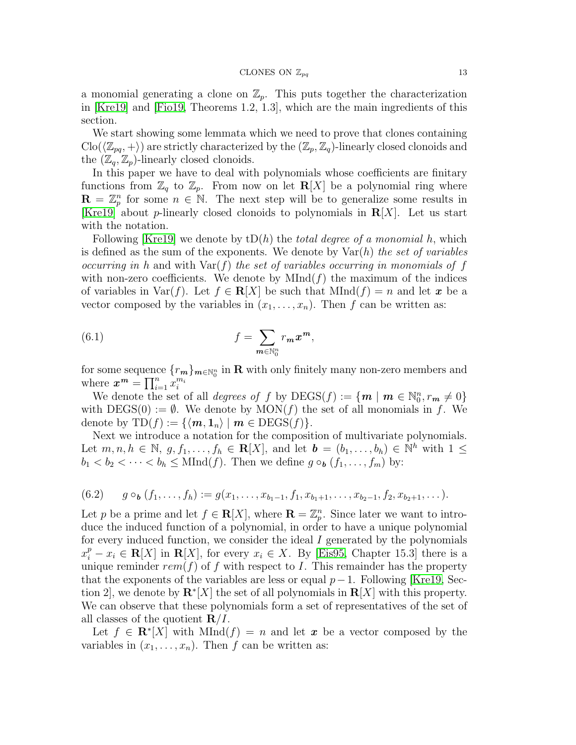a monomial generating a clone on  $\mathbb{Z}_p$ . This puts together the characterization in [\[Kre19\]](#page-22-10) and [\[Fio19,](#page-22-0) Theorems 1.2, 1.3], which are the main ingredients of this section.

We start showing some lemmata which we need to prove that clones containing  $\text{Clo}(\langle \mathbb{Z}_{pq}, +\rangle)$  are strictly characterized by the  $(\mathbb{Z}_p, \mathbb{Z}_q)$ -linearly closed clonoids and the  $(\mathbb{Z}_q, \mathbb{Z}_p)$ -linearly closed clonoids.

In this paper we have to deal with polynomials whose coefficients are finitary functions from  $\mathbb{Z}_q$  to  $\mathbb{Z}_p$ . From now on let  $\mathbf{R}[X]$  be a polynomial ring where  $\mathbf{R} = \mathbb{Z}_p^n$  for some  $n \in \mathbb{N}$ . The next step will be to generalize some results in [\[Kre19\]](#page-22-10) about *p*-linearly closed clonoids to polynomials in  $\mathbf{R}[X]$ . Let us start with the notation.

Following [\[Kre19\]](#page-22-10) we denote by  $tD(h)$  the *total degree of a monomial* h, which is defined as the sum of the exponents. We denote by  $\text{Var}(h)$  the set of variables occurring in h and with  $\text{Var}(f)$  the set of variables occurring in monomials of f with non-zero coefficients. We denote by  $MInd(f)$  the maximum of the indices of variables in Var(f). Let  $f \in \mathbb{R}[X]$  be such that  $MInd(f) = n$  and let x be a vector composed by the variables in  $(x_1, \ldots, x_n)$ . Then f can be written as:

(6.1) 
$$
f = \sum_{m \in \mathbb{N}_0^n} r_m x^m,
$$

for some sequence  ${r_m}_{m \in \mathbb{N}_0^n}$  in R with only finitely many non-zero members and where  $\boldsymbol{x}^{\boldsymbol{m}} = \prod_{i=1}^{n} x_i^{m_i}$ 

We denote the set of all *degrees of* f by  $\text{DEGS}(f) := \{ m \mid m \in \mathbb{N}_0^n, r_m \neq 0 \}$ with  $DEGS(0) := \emptyset$ . We denote by  $MON(f)$  the set of all monomials in f. We denote by  $TD(f) := \{ \langle m, 1_n \rangle \mid m \in DEGS(f) \}.$ 

Next we introduce a notation for the composition of multivariate polynomials. Let  $m, n, h \in \mathbb{N}, g, f_1, \ldots, f_h \in \mathbb{R}[X]$ , and let  $\mathbf{b} = (b_1, \ldots, b_h) \in \mathbb{N}^h$  with  $1 \leq$  $b_1 < b_2 < \cdots < b_h \leq \text{MInd}(f)$ . Then we define  $g \circ_{b} (f_1, \ldots, f_m)$  by:

$$
(6.2) \qquad g \circ_{\mathbf{b}} (f_1,\ldots,f_h) := g(x_1,\ldots,x_{b_1-1},f_1,x_{b_1+1},\ldots,x_{b_2-1},f_2,x_{b_2+1},\ldots).
$$

Let p be a prime and let  $f \in \mathbf{R}[X]$ , where  $\mathbf{R} = \mathbb{Z}_p^n$ . Since later we want to introduce the induced function of a polynomial, in order to have a unique polynomial for every induced function, we consider the ideal  $I$  generated by the polynomials  $x_i^p - x_i \in \mathbf{R}[X]$  in  $\mathbf{R}[X]$ , for every  $x_i \in X$ . By [\[Eis95,](#page-22-12) Chapter 15.3] there is a unique reminder  $rem(f)$  of f with respect to I. This remainder has the property that the exponents of the variables are less or equal  $p-1$ . Following [\[Kre19,](#page-22-10) Section 2], we denote by  $\mathbf{R}^*[X]$  the set of all polynomials in  $\mathbf{R}[X]$  with this property. We can observe that these polynomials form a set of representatives of the set of all classes of the quotient  $\mathbf{R}/I$ .

Let  $f \in \mathbf{R}^* [X]$  with  $MInd(f) = n$  and let x be a vector composed by the variables in  $(x_1, \ldots, x_n)$ . Then f can be written as: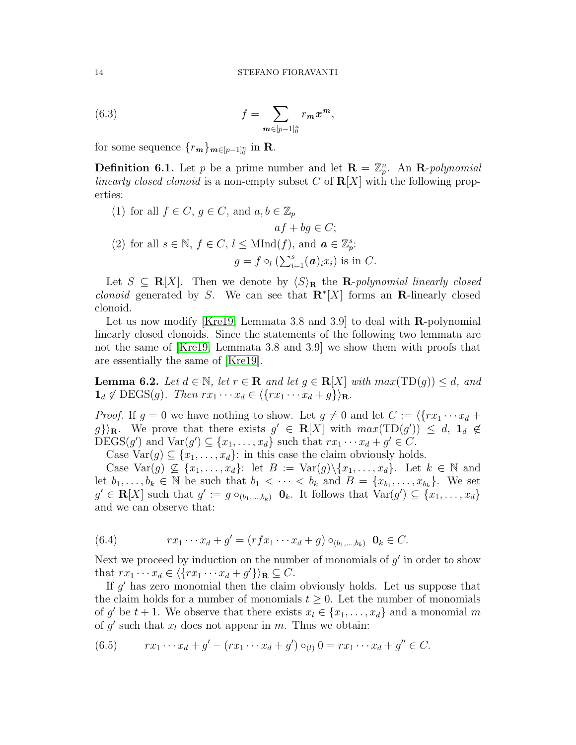(6.3) 
$$
f = \sum_{m \in [p-1]_0^n} r_m x^m,
$$

for some sequence  $\{r_m\}_{m\in[p-1]_0^n}$  in **R**.

<span id="page-13-1"></span>**Definition 6.1.** Let p be a prime number and let  $\mathbf{R} = \mathbb{Z}_p^n$ . An  $\mathbf{R}$ -polynomial linearly closed clonoid is a non-empty subset C of  $R[X]$  with the following properties:

(1) for all  $f \in C$ ,  $g \in C$ , and  $a, b \in \mathbb{Z}_p$  $af + bg \in C;$ (2) for all  $s \in \mathbb{N}$ ,  $f \in C$ ,  $l \leq MInd(f)$ , and  $\mathbf{a} \in \mathbb{Z}_{p}^{s}$ :  $g = f \circ_l (\sum_{i=1}^s (a)_i x_i)$  is in C.

Let  $S \subseteq \mathbf{R}[X]$ . Then we denote by  $\langle S \rangle_{\mathbf{R}}$  the **R**-polynomial linearly closed *clonoid* generated by S. We can see that  $\mathbb{R}^* [X]$  forms an **R**-linearly closed clonoid.

Let us now modify [\[Kre19,](#page-22-10) Lemmata 3.8 and 3.9] to deal with  $\bf{R}$ -polynomial linearly closed clonoids. Since the statements of the following two lemmata are not the same of [\[Kre19,](#page-22-10) Lemmata 3.8 and 3.9] we show them with proofs that are essentially the same of [\[Kre19\]](#page-22-10).

<span id="page-13-0"></span>**Lemma 6.2.** Let  $d \in \mathbb{N}$ , let  $r \in \mathbb{R}$  and let  $g \in \mathbb{R}[X]$  with  $max(TD(g)) \leq d$ , and  $\mathbf{1}_d \notin \text{DEGS}(g)$ . Then  $rx_1 \cdots x_d \in \langle \{rx_1 \cdots x_d + g\} \rangle_{\mathbf{R}}$ .

*Proof.* If  $g = 0$  we have nothing to show. Let  $g \neq 0$  and let  $C := \langle \{rx_1 \cdots x_d +$  $g\}\rangle_{\mathbf{R}}$ . We prove that there exists  $g' \in \mathbf{R}[X]$  with  $max(TD(g')) \leq d, \mathbf{1}_d \notin \mathbf{R}[X]$ DEGS(g') and  $Var(g') \subseteq \{x_1, \ldots, x_d\}$  such that  $rx_1 \cdots x_d + g' \in C$ .

Case Var $(g) \subseteq \{x_1, \ldots, x_d\}$ : in this case the claim obviously holds.

Case Var(g)  $\nsubseteq \{x_1, \ldots, x_d\}$ : let  $B := \text{Var}(g) \setminus \{x_1, \ldots, x_d\}$ . Let  $k \in \mathbb{N}$  and let  $b_1, \ldots, b_k \in \mathbb{N}$  be such that  $b_1 < \cdots < b_k$  and  $B = \{x_{b_1}, \ldots, x_{b_k}\}.$  We set  $g' \in \mathbf{R}[X]$  such that  $g' := g \circ_{(b_1,\ldots,b_k)} \mathbf{0}_k$ . It follows that  $\text{Var}(g') \subseteq \{x_1,\ldots,x_d\}$ and we can observe that:

(6.4) 
$$
rx_1 \cdots x_d + g' = (rfx_1 \cdots x_d + g) \circ_{(b_1,\ldots,b_k)} \mathbf{0}_k \in C.
$$

Next we proceed by induction on the number of monomials of  $g'$  in order to show that  $rx_1 \cdots x_d \in \langle \{rx_1 \cdots x_d + g'\} \rangle_{\mathbf{R}} \subseteq C$ .

If  $g'$  has zero monomial then the claim obviously holds. Let us suppose that the claim holds for a number of monomials  $t \geq 0$ . Let the number of monomials of g' be  $t + 1$ . We observe that there exists  $x_l \in \{x_1, \ldots, x_d\}$  and a monomial m of  $g'$  such that  $x_l$  does not appear in m. Thus we obtain:

$$
(6.5) \t r x_1 \cdots x_d + g' - (r x_1 \cdots x_d + g') \circ_{(l)} 0 = r x_1 \cdots x_d + g'' \in C.
$$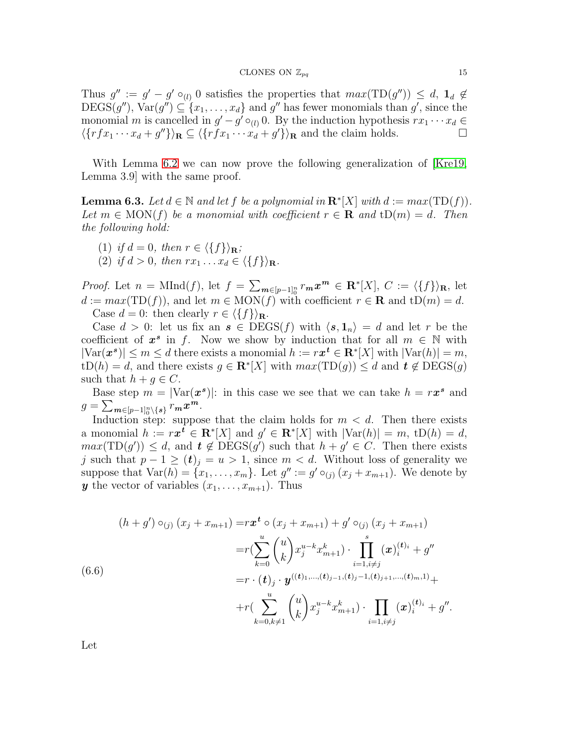Thus  $g' := g' - g' \circ_{(l)} 0$  satisfies the properties that  $max(TD(g'')) \leq d$ ,  $\mathbf{1}_d \notin$  $\text{DEGS}(g'')$ ,  $\text{Var}(g'') \subseteq \{x_1, \ldots, x_d\}$  and  $g''$  has fewer monomials than  $g'$ , since the monomial m is cancelled in  $g' - g' \circ_{(l)} 0$ . By the induction hypothesis  $rx_1 \cdots x_d \in$  $\langle \{rfx_1 \cdots x_d + g''\}\rangle_{\mathbf{R}} \subseteq \langle \{rfx_1 \cdots x_d + g'\}\rangle_{\mathbf{R}}$  and the claim holds.

With Lemma [6.2](#page-13-0) we can now prove the following generalization of [\[Kre19,](#page-22-10) Lemma 3.9] with the same proof.

<span id="page-14-0"></span>**Lemma 6.3.** Let  $d \in \mathbb{N}$  and let  $f$  be a polynomial in  $\mathbb{R}^*[X]$  with  $d := max(TD(f))$ . Let  $m \in \text{MON}(f)$  be a monomial with coefficient  $r \in \mathbf{R}$  and  $tD(m) = d$ . Then the following hold:

- (1) if  $d = 0$ , then  $r \in \langle \{f\} \rangle_{\mathbf{R}}$ ;
- (2) if  $d > 0$ , then  $rx_1 \ldots x_d \in \langle \{f\} \rangle_{\mathbf{R}}$ .

*Proof.* Let  $n = \text{MInd}(f)$ , let  $f = \sum_{m \in [p-1]_0^n} r_m x^m \in \mathbb{R}^*[X]$ ,  $C := \langle \{f\} \rangle_{\mathbb{R}}$ , let  $d := max(TD(f))$ , and let  $m \in MON(f)$  with coefficient  $r \in \mathbb{R}$  and  $tD(m) = d$ . Case  $d = 0$ : then clearly  $r \in \langle \{f\} \rangle_{\mathbf{R}}$ .

Case  $d > 0$ : let us fix an  $s \in \text{DEGS}(f)$  with  $\langle s, 1_n \rangle = d$  and let r be the coefficient of  $x^s$  in f. Now we show by induction that for all  $m \in \mathbb{N}$  with  $|\text{Var}(\boldsymbol{x}^s)| \leq m \leq d$  there exists a monomial  $h := r\boldsymbol{x}^t \in \mathbf{R}^*[X]$  with  $|\text{Var}(h)| = m$ ,  $tD(h) = d$ , and there exists  $g \in \mathbb{R}^*[X]$  with  $max(TD(g)) \leq d$  and  $t \notin DECSS(g)$ such that  $h + q \in C$ .

Base step  $m = |\text{Var}(\boldsymbol{x^s})|$ : in this case we see that we can take  $h = r\boldsymbol{x^s}$  and  $g=\sum_{\boldsymbol{m}\in [p-1]_0^n\backslash\{\boldsymbol{s}\}}r_{\boldsymbol{m}}\boldsymbol{x}^{\boldsymbol{m}}.$ 

Induction step: suppose that the claim holds for  $m < d$ . Then there exists a monomial  $h := rx^t \in \mathbf{R}^*[X]$  and  $g' \in \mathbf{R}^*[X]$  with  $|\text{Var}(h)| = m$ ,  $\text{tD}(h) = d$ ,  $max(TD(g')) \leq d$ , and  $t \notin DECSS(g')$  such that  $h + g' \in C$ . Then there exists j such that  $p-1 \ge (t)_j = u > 1$ , since  $m < d$ . Without loss of generality we suppose that  $Var(h) = \{x_1, \ldots, x_m\}$ . Let  $g' := g' \circ_{(j)} (x_j + x_{m+1})$ . We denote by y the vector of variables  $(x_1, \ldots, x_{m+1})$ . Thus

$$
(h+g') \circ_{(j)} (x_j + x_{m+1}) = r \mathbf{x}^t \circ (x_j + x_{m+1}) + g' \circ_{(j)} (x_j + x_{m+1})
$$
  
\n
$$
= r \Big( \sum_{k=0}^u {u \choose k} x_j^{u-k} x_{m+1}^k \Big) \cdot \prod_{i=1, i \neq j}^s (\mathbf{x})_i^{(t)_i} + g''
$$
  
\n(6.6)  
\n
$$
= r \cdot (t)_j \cdot \mathbf{y}^{((t)_{1}, \dots, (t)_{j-1}, (t)_j - 1, (t)_{j+1}, \dots, (t)_m, 1)} +
$$
  
\n
$$
+ r \Big( \sum_{k=0, k \neq 1}^u {u \choose k} x_j^{u-k} x_{m+1}^k \Big) \cdot \prod_{i=1, i \neq j} (\mathbf{x})_i^{(t)_i} + g''.
$$

Let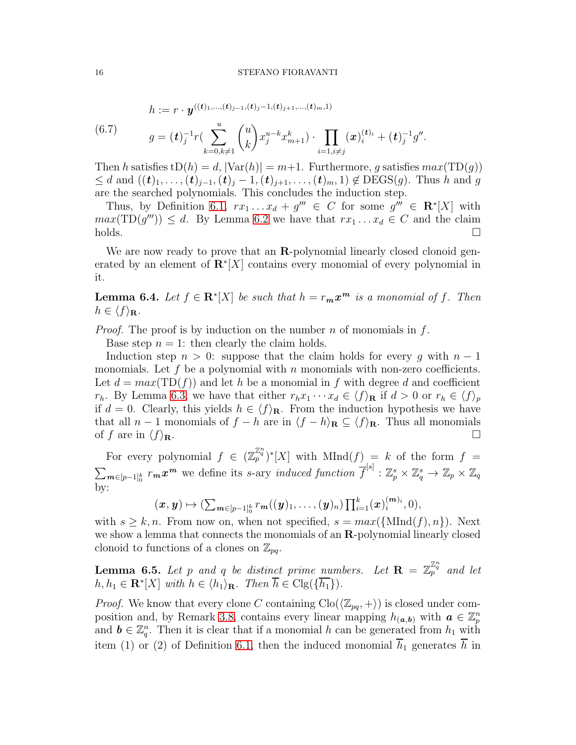(6.7) 
$$
h := r \cdot \mathbf{y}^{((t)_{1},...,(t)_{j-1},(t)_{j-1},(t)_{j+1},...,(t)_{m},1)}
$$

$$
g = (\mathbf{t})_{j}^{-1} r \left( \sum_{k=0,k\neq 1}^{u} {u \choose k} x_{j}^{u-k} x_{m+1}^{k} \right) \cdot \prod_{i=1,i\neq j} (\mathbf{x})_{i}^{(t)_{i}} + (\mathbf{t})_{j}^{-1} g''.
$$

Then h satisfies  $tD(h) = d$ ,  $|\text{Var}(h)| = m+1$ . Furthermore, g satisfies  $max(TD(g))$  $\leq d$  and  $((t)_1, \ldots, (t)_{j-1}, (t)_j - 1, (t)_{j+1}, \ldots, (t)_m, 1) \notin \text{DEGS}(g)$ . Thus h and g are the searched polynomials. This concludes the induction step.

Thus, by Definition [6.1,](#page-13-1)  $rx_1 \ldots x_d + g''' \in C$  for some  $g''' \in \mathbb{R}^*[X]$  with  $max(TD(g''')) \leq d$ . By Lemma [6.2](#page-13-0) we have that  $rx_1 \ldots x_d \in C$  and the claim  $\Box$ holds.  $\Box$ 

We are now ready to prove that an **R**-polynomial linearly closed clonoid generated by an element of  $\mathbb{R}^* [X]$  contains every monomial of every polynomial in it.

<span id="page-15-1"></span>**Lemma 6.4.** Let  $f \in \mathbf{R}^* [X]$  be such that  $h = r_m x^m$  is a monomial of f. Then  $h \in \langle f \rangle_{\mathbf{R}}$ .

*Proof.* The proof is by induction on the number n of monomials in  $f$ .

Base step  $n = 1$ : then clearly the claim holds.

Induction step  $n > 0$ : suppose that the claim holds for every g with  $n - 1$ monomials. Let f be a polynomial with n monomials with non-zero coefficients. Let  $d = max(TD(f))$  and let h be a monomial in f with degree d and coefficient  $r_h$ . By Lemma [6.3,](#page-14-0) we have that either  $r_h x_1 \cdots x_d \in \langle f \rangle_{\mathbf{R}}$  if  $d > 0$  or  $r_h \in \langle f \rangle_p$ if  $d = 0$ . Clearly, this yields  $h \in \langle f \rangle_{\mathbf{R}}$ . From the induction hypothesis we have that all  $n-1$  monomials of  $f - h$  are in  $\langle f - h \rangle_{\mathbf{R}} \subseteq \langle f \rangle_{\mathbf{R}}$ . Thus all monomials of f are in  $\langle f \rangle_{\mathbf{R}}$ .

For every polynomial  $f \in (\mathbb{Z}_p^{\mathbb{Z}_q^n})^*[X]$  with  $MInd(f) = k$  of the form  $f =$  $\sum_{m\in[p-1]_0^k} r_m x^m$  we define its s-ary induced function  $\overline{f}^{[s]}: \mathbb{Z}_p^s \times \mathbb{Z}_q^s \to \mathbb{Z}_p \times \mathbb{Z}_q$ by:

$$
(\boldsymbol{x},\boldsymbol{y})\mapsto (\sum_{\boldsymbol{m}\in [p-1]_0^k}r_{\boldsymbol{m}}((\boldsymbol{y})_1,\ldots,(\boldsymbol{y})_n)\prod_{i=1}^k(\boldsymbol{x})_i^{(\boldsymbol{m})_i},0),
$$

with  $s \geq k, n$ . From now on, when not specified,  $s = max({\text{MInd}(f), n})$ . Next we show a lemma that connects the monomials of an **R**-polynomial linearly closed clonoid to functions of a clones on  $\mathbb{Z}_{pq}$ .

<span id="page-15-0"></span>**Lemma 6.5.** Let p and q be distinct prime numbers. Let  $\mathbf{R} = \mathbb{Z}_p^{\mathbb{Z}_q^n}$  and let  $h, h_1 \in \mathbf{R}^*[X]$  with  $h \in \langle h_1 \rangle_\mathbf{R}$ . Then  $\overline{h} \in \text{Clg}(\{\overline{h_1}\})$ .

*Proof.* We know that every clone C containing  $\text{Clo}(\langle \mathbb{Z}_{pq}, +\rangle)$  is closed under com-position and, by Remark [3.8,](#page-7-0) contains every linear mapping  $h_{(a,b)}$  with  $a \in \mathbb{Z}_p^n$ and  $\mathbf{b} \in \mathbb{Z}_q^n$ . Then it is clear that if a monomial h can be generated from  $h_1$  with item (1) or (2) of Definition [6.1,](#page-13-1) then the induced monomial  $\overline{h}_1$  generates  $\overline{h}$  in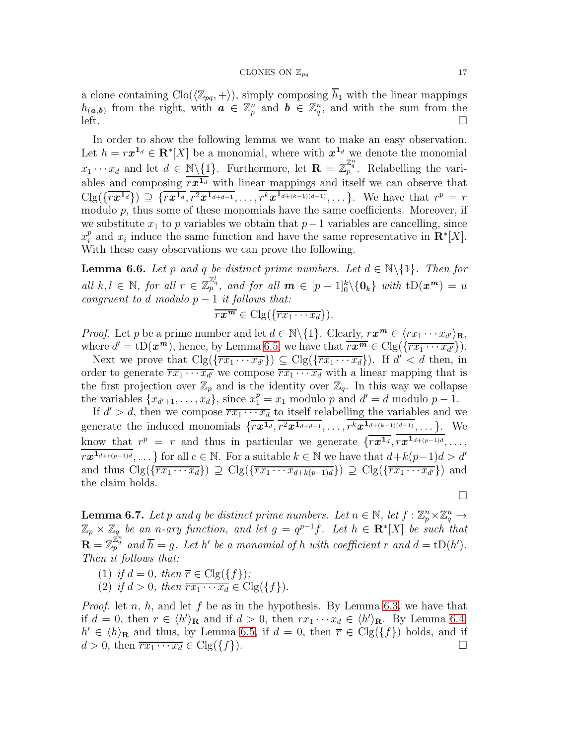a clone containing  $\text{Clo}(\langle \mathbb{Z}_{pq}, +\rangle)$ , simply composing  $\overline{h}_1$  with the linear mappings  $h_{(a,b)}$  from the right, with  $a \in \mathbb{Z}_p^n$  and  $b \in \mathbb{Z}_q^n$ , and with the sum from the  $\text{left.}$   $\Box$ 

In order to show the following lemma we want to make an easy observation. Let  $h = r x^{1_d} \in \mathbf{R}^* [X]$  be a monomial, where with  $x^{1_d}$  we denote the monomial  $x_1 \cdots x_d$  and let  $d \in \mathbb{N}\backslash\{1\}$ . Furthermore, let  $\mathbf{R} = \mathbb{Z}_p^{\mathbb{Z}_q^n}$ . Relabelling the variables and composing  $\overline{rx^{1_d}}$  with linear mappings and itself we can observe that  $C \lg(\{\overline{rx^{1_d}}\}) \supseteq \{\overline{rx^{1_d}}, \overline{r^2x^{1_{d+d-1}}}, \ldots, \overline{r^kx^{1_{d+(k-1)(d-1)}}}, \ldots\}$ . We have that  $r^p = r$ modulo  $p$ , thus some of these monomials have the same coefficients. Moreover, if we substitute  $x_1$  to p variables we obtain that  $p-1$  variables are cancelling, since  $x_i^p$ <sup>*p*</sup> and  $x_i$  induce the same function and have the same representative in  $\mathbb{R}^* [X]$ . With these easy observations we can prove the following.

<span id="page-16-1"></span>**Lemma 6.6.** Let p and q be distinct prime numbers. Let  $d \in \mathbb{N} \setminus \{1\}$ . Then for all  $k, l \in \mathbb{N}$ , for all  $r \in \mathbb{Z}_p^{\mathbb{Z}_q^l}$ , and for all  $m \in [p-1]_0^k \setminus \{0_k\}$  with  $tD(x^m) = u$ congruent to d modulo  $p-1$  it follows that:

$$
\overline{rx^m} \in \text{Clg}(\{\overline{rx_1\cdots x_d}\})
$$
.

*Proof.* Let p be a prime number and let  $d \in \mathbb{N} \setminus \{1\}$ . Clearly,  $r x^m \in \langle rx_1 \cdots x_{d'} \rangle_{\mathbf{R}}$ , where  $d' = tD(\boldsymbol{x}^{\boldsymbol{m}})$ , hence, by Lemma [6.5,](#page-15-0) we have that  $\overline{r\boldsymbol{x}^{\boldsymbol{m}}} \in \text{Clg}(\{\overline{r\overline{x_1 \cdots x_{d'}}}\})$ .

Next we prove that  $C \log(\{\overline{rx_1 \cdots x_{d'}}\}) \subseteq C \log(\{\overline{rx_1 \cdots x_d}\})$ . If  $d' < d$  then, in order to generate  $\overline{rx_1 \cdots x_{d'}}$  we compose  $\overline{rx_1 \cdots x_d}$  with a linear mapping that is the first projection over  $\mathbb{Z}_p$  and is the identity over  $\mathbb{Z}_q$ . In this way we collapse the variables  $\{x_{d'+1}, \ldots, x_d\}$ , since  $x_1^p = x_1$  modulo p and  $d' = d$  modulo  $p - 1$ .

If  $d' > d$ , then we compose  $\overline{rx_1 \cdots x_d}$  to itself relabelling the variables and we generate the induced monomials  $\{\overline{rx^{1_d}}, \overline{r^2x^{1_{d+d-1}}}, \ldots, \overline{r^kx^{1_{d+(k-1)(d-1)}}}, \ldots\}$ . We know that  $r^p = r$  and thus in particular we generate  $\{\overline{rx^{1_d}}, \overline{rx^{1_{d+(p-1)d}}}, \ldots,$  $r x^{1_{d+c(p-1)d}}, \ldots$ } for all  $c \in \mathbb{N}$ . For a suitable  $k \in \mathbb{N}$  we have that  $d+k(p-1)d > d'$ and thus  $\text{Clg}(\{\overline{rx_1\cdots x_d}\}) \supseteq \text{Clg}(\{\overline{rx_1\cdots x_{d+k(p-1)d}}\}) \supseteq \text{Clg}(\{\overline{rx_1\cdots x_{d'}}\})$  and the claim holds.

 $\Box$ 

<span id="page-16-0"></span>**Lemma 6.7.** Let p and q be distinct prime numbers. Let  $n \in \mathbb{N}$ , let  $f : \mathbb{Z}_p^n \times \mathbb{Z}_q^n \to$  $\mathbb{Z}_p\times\mathbb{Z}_q$  be an n-ary function, and let  $g=q^{p-1}f$ . Let  $h\in\mathbf{R}^*[X]$  be such that  $\mathbf{R} = \mathbb{Z}_p^{\mathbb{Z}_q^n}$  and  $\overline{h} = g$ . Let h' be a monomial of h with coefficient r and  $d = \text{tD}(h')$ . Then it follows that:

- (1) if  $d = 0$ , then  $\overline{r} \in \text{Clg}(\lbrace f \rbrace)$ ;
- (2) if  $d > 0$ , then  $\overline{rx_1 \cdots x_d} \in \text{Clg}(\{f\})$ .

*Proof.* let n, h, and let f be as in the hypothesis. By Lemma [6.3,](#page-14-0) we have that if  $d = 0$ , then  $r \in \langle h' \rangle_{\mathbf{R}}$  and if  $d > 0$ , then  $rx_1 \cdots x_d \in \langle h' \rangle_{\mathbf{R}}$ . By Lemma [6.4,](#page-15-1)  $h' \in \langle h \rangle_{\mathbf{R}}$  and thus, by Lemma [6.5,](#page-15-0) if  $d = 0$ , then  $\overline{r} \in \text{Clg}(\{f\})$  holds, and if  $d > 0$ , then  $\overline{rx_1 \cdots x_d} \in \text{Clg}(\lbrace f \rbrace)$ .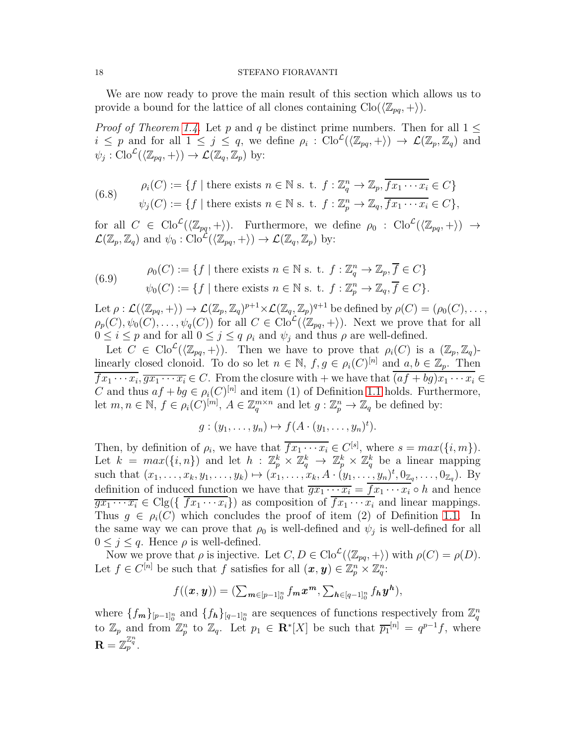We are now ready to prove the main result of this section which allows us to provide a bound for the lattice of all clones containing  $\text{Clo}(\langle \mathbb{Z}_{pq}, +\rangle)$ .

*Proof of Theorem [1.4.](#page-1-0)* Let p and q be distinct prime numbers. Then for all  $1 \leq$  $i \leq p$  and for all  $1 \leq j \leq q$ , we define  $\rho_i : \text{Clo}^{\mathcal{L}}(\langle \mathbb{Z}_{pq}, + \rangle) \to \mathcal{L}(\mathbb{Z}_p, \mathbb{Z}_q)$  and  $\psi_j : \mathrm{Clo}^{\mathcal{L}}(\langle \mathbb{Z}_{pq}, + \rangle) \to \mathcal{L}(\mathbb{Z}_q, \mathbb{Z}_p)$  by:

(6.8) 
$$
\rho_i(C) := \{ f \mid \text{there exists } n \in \mathbb{N} \text{ s. t. } f : \mathbb{Z}_q^n \to \mathbb{Z}_p, \overline{f x_1 \cdots x_i} \in C \}
$$

$$
\psi_j(C) := \{ f \mid \text{there exists } n \in \mathbb{N} \text{ s. t. } f : \mathbb{Z}_p^n \to \mathbb{Z}_q, \overline{f x_1 \cdots x_i} \in C \},
$$

for all  $C \in \text{Clo}^{\mathcal{L}}(\langle \mathbb{Z}_{pq}, + \rangle)$ . Furthermore, we define  $\rho_0 : \text{Clo}^{\mathcal{L}}(\langle \mathbb{Z}_{pq}, + \rangle) \rightarrow$  $\mathcal{L}(\mathbb{Z}_p, \mathbb{Z}_q)$  and  $\psi_0 : \text{Clo}^{\mathcal{L}}(\langle \mathbb{Z}_{pq}, + \rangle) \to \mathcal{L}(\mathbb{Z}_q, \mathbb{Z}_p)$  by:

<span id="page-17-0"></span>(6.9) 
$$
\rho_0(C) := \{ f \mid \text{there exists } n \in \mathbb{N} \text{ s. t. } f : \mathbb{Z}_q^n \to \mathbb{Z}_p, \overline{f} \in C \}
$$

$$
\psi_0(C) := \{ f \mid \text{there exists } n \in \mathbb{N} \text{ s. t. } f : \mathbb{Z}_p^n \to \mathbb{Z}_q, \overline{f} \in C \}.
$$

Let  $\rho: \mathcal{L}(\langle \mathbb{Z}_{pq}, + \rangle) \to \mathcal{L}(\mathbb{Z}_p, \mathbb{Z}_q)^{p+1} \times \mathcal{L}(\mathbb{Z}_q, \mathbb{Z}_p)^{q+1}$  be defined by  $\rho(C) = (\rho_0(C), \dots,$  $\rho_p(C), \psi_0(C), \ldots, \psi_q(C)$  for all  $C \in \text{Clo}^{\mathcal{L}}(\langle \mathbb{Z}_{pq}, + \rangle)$ . Next we prove that for all  $0 \leq i \leq p$  and for all  $0 \leq j \leq q$   $\rho_i$  and  $\psi_j$  and thus  $\rho$  are well-defined.

Let  $C \in \text{Clo}^{\mathcal{L}}(\langle \mathbb{Z}_{pq}, + \rangle)$ . Then we have to prove that  $\rho_i(C)$  is a  $(\mathbb{Z}_p, \mathbb{Z}_q)$ linearly closed clonoid. To do so let  $n \in \mathbb{N}$ ,  $f, g \in \rho_i(C)^{[n]}$  and  $a, b \in \mathbb{Z}_p$ . Then  $fx_1 \cdots x_i, \overline{gx_1 \cdots x_i} \in C$ . From the closure with  $+$  we have that  $(af + bg)x_1 \cdots x_i \in$ C and thus  $af + bg \in \rho_i(C)^{[n]}$  and item (1) of Definition [1.1](#page-1-2) holds. Furthermore, let  $m, n \in \mathbb{N}, f \in \rho_i(C)^{[m]}, A \in \mathbb{Z}_q^{m \times n}$  and let  $g: \mathbb{Z}_p^n \to \mathbb{Z}_q$  be defined by:

$$
g:(y_1,\ldots,y_n)\mapsto f(A\cdot(y_1,\ldots,y_n)^t).
$$

Then, by definition of  $\rho_i$ , we have that  $\overline{f_{x_1} \cdots x_i} \in C^{[s]}$ , where  $s = max({i, m})$ . Let  $k = max({i, n})$  and let  $h : \mathbb{Z}_p^k \times \mathbb{Z}_q^k \to \mathbb{Z}_p^k \times \mathbb{Z}_q^k$  be a linear mapping such that  $(x_1, ..., x_k, y_1, ..., y_k) \mapsto (x_1, ..., x_k, A \cdot (y_1, ..., y_n)^t, 0_{\mathbb{Z}_q}, ..., 0_{\mathbb{Z}_q})$ . By definition of induced function we have that  $\overline{gx_1 \cdots x_i} = \overline{fx_1 \cdots x_i} \circ h$  and hence  $\overline{qx_1 \cdots x_i} \in \text{Clg}(\{\overline{fx_1 \cdots x_i}\})$  as composition of  $\overline{fx_1 \cdots x_i}$  and linear mappings. Thus  $g \in \rho_i(C)$  which concludes the proof of item (2) of Definition [1.1.](#page-1-2) In the same way we can prove that  $\rho_0$  is well-defined and  $\psi_j$  is well-defined for all  $0 \leq j \leq q$ . Hence  $\rho$  is well-defined.

Now we prove that  $\rho$  is injective. Let  $C, D \in \text{Clo}^{\mathcal{L}}(\langle \mathbb{Z}_{pq}, + \rangle)$  with  $\rho(C) = \rho(D)$ . Let  $f \in C^{[n]}$  be such that f satisfies for all  $(\boldsymbol{x}, \boldsymbol{y}) \in \mathbb{Z}_p^n \times \mathbb{Z}_q^n$ :

$$
f((x,y))=(\sum_{m\in [p-1]_0^n}f_mx^m,\sum_{h\in [q-1]_0^n}f_hy^h),
$$

where  $\{f_m\}_{[p-1]^n_0}$  and  $\{f_h\}_{[q-1]^n_0}$  are sequences of functions respectively from  $\mathbb{Z}_q^n$ to  $\mathbb{Z}_p$  and from  $\mathbb{Z}_p^n$  to  $\mathbb{Z}_q$ . Let  $p_1 \in \mathbb{R}^*[X]$  be such that  $\overline{p_1}^{[n]} = q^{p-1}f$ , where  $\mathbf{R} = \mathbb{Z}_p^{\mathbb{Z}_q^n}.$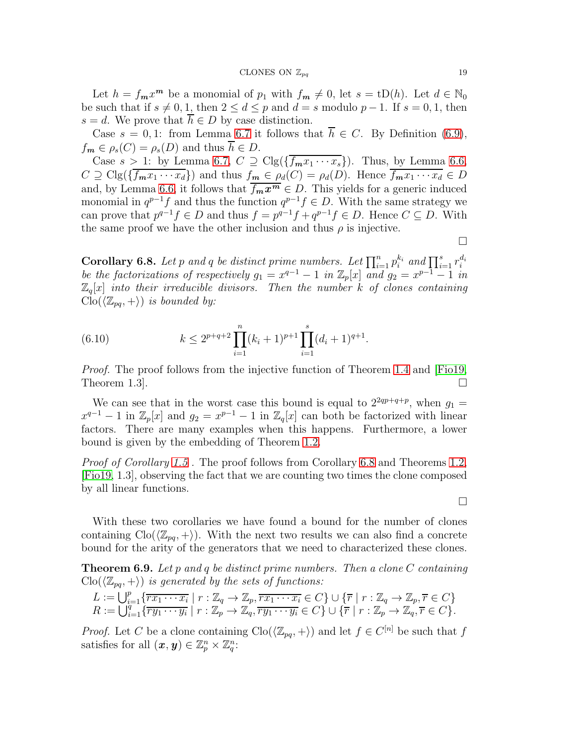Let  $h = f_m x^m$  be a monomial of  $p_1$  with  $f_m \neq 0$ , let  $s = tD(h)$ . Let  $d \in \mathbb{N}_0$ be such that if  $s \neq 0, 1$ , then  $2 \leq d \leq p$  and  $d = s$  modulo  $p - 1$ . If  $s = 0, 1$ , then  $s = d$ . We prove that  $h \in D$  by case distinction.

Case  $s = 0, 1$ : from Lemma [6.7](#page-16-0) it follows that  $\overline{h} \in C$ . By Definition [\(6.9\)](#page-17-0),  $f_m \in \rho_s(C) = \rho_s(D)$  and thus  $\overline{h} \in D$ .

Case  $s > 1$ : by Lemma [6.7,](#page-16-0)  $C \supseteq \text{Clg}(\{\overline{f_m x_1 \cdots x_s}\})$ . Thus, by Lemma [6.6,](#page-16-1)  $C \supseteq C \log(\{\overline{f_m x_1 \cdots x_d}\})$  and thus  $f_m \in \rho_d(C) = \rho_d(D)$ . Hence  $\overline{f_m x_1 \cdots x_d} \in D$ and, by Lemma [6.6,](#page-16-1) it follows that  $\overline{f_m x^m} \in D$ . This yields for a generic induced monomial in  $q^{p-1}f$  and thus the function  $q^{p-1}f \in D$ . With the same strategy we can prove that  $p^{q-1}f \in D$  and thus  $f = p^{q-1}f + q^{p-1}f \in D$ . Hence  $C \subseteq D$ . With the same proof we have the other inclusion and thus  $\rho$  is injective.

 $\Box$ 

 $\Box$ 

<span id="page-18-1"></span>**Corollary 6.8.** Let p and q be distinct prime numbers. Let  $\prod_{i=1}^{n} p_i^{k_i}$  and  $\prod_{i=1}^{s} r_i^{d_i}$ be the factorizations of respectively  $g_1 = x^{q-1} - 1$  in  $\mathbb{Z}_p[x]$  and  $g_2 = x^{p-1} - 1$  in  $\mathbb{Z}_q[x]$  into their irreducible divisors. Then the number k of clones containing  $\text{Clo}(\langle \mathbb{Z}_{pq}, + \rangle)$  is bounded by:

(6.10) 
$$
k \leq 2^{p+q+2} \prod_{i=1}^{n} (k_i+1)^{p+1} \prod_{i=1}^{s} (d_i+1)^{q+1}.
$$

Proof. The proof follows from the injective function of Theorem [1.4](#page-1-0) and [\[Fio19,](#page-22-0) Theorem 1.3.

We can see that in the worst case this bound is equal to  $2^{2qp+q+p}$ , when  $g_1 =$  $x^{q-1} - 1$  in  $\mathbb{Z}_p[x]$  and  $g_2 = x^{p-1} - 1$  in  $\mathbb{Z}_q[x]$  can both be factorized with linear factors. There are many examples when this happens. Furthermore, a lower bound is given by the embedding of Theorem [1.2.](#page-1-1)

Proof of Corollary [1.5](#page-1-4). The proof follows from Corollary [6.8](#page-18-1) and Theorems [1.2,](#page-1-1) [\[Fio19,](#page-22-0) 1.3], observing the fact that we are counting two times the clone composed by all linear functions.

With these two corollaries we have found a bound for the number of clones containing  $\text{Clo}(\langle \mathbb{Z}_{pq}, +\rangle)$ . With the next two results we can also find a concrete bound for the arity of the generators that we need to characterized these clones.

<span id="page-18-0"></span>**Theorem 6.9.** Let p and q be distinct prime numbers. Then a clone  $C$  containing  $\text{Clo}(\langle \mathbb{Z}_{pq}, + \rangle)$  is generated by the sets of functions:

$$
L := \bigcup_{i=1}^p \{ \overline{rx_1 \cdots x_i} \mid r : \mathbb{Z}_q \to \mathbb{Z}_p, \overline{rx_1 \cdots x_i} \in C \} \cup \{ \overline{r} \mid r : \mathbb{Z}_q \to \mathbb{Z}_p, \overline{r} \in C \} R := \bigcup_{i=1}^q \{ \overline{ry_1 \cdots y_i} \mid r : \mathbb{Z}_p \to \mathbb{Z}_q, \overline{ry_1 \cdots y_i} \in C \} \cup \{ \overline{r} \mid r : \mathbb{Z}_p \to \mathbb{Z}_q, \overline{r} \in C \}.
$$

*Proof.* Let C be a clone containing  $\text{Clo}(\langle \mathbb{Z}_{pq}, + \rangle)$  and let  $f \in C^{[n]}$  be such that f satisfies for all  $(\boldsymbol{x}, \boldsymbol{y}) \in \mathbb{Z}_p^n \times \mathbb{Z}_q^n$ :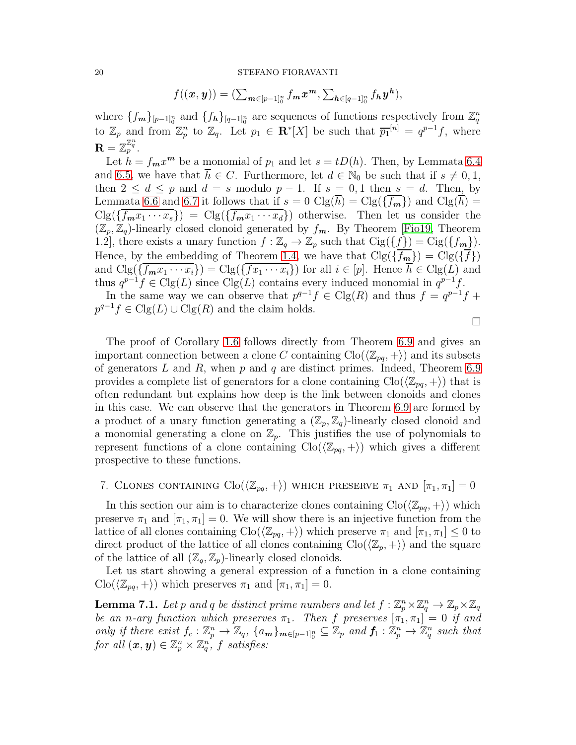$$
f((x,y))=(\sum_{m\in [p-1]_0^n}f_mx^m,\sum_{h\in [q-1]_0^n}f_hy^h),
$$

where  $\{f_m\}_{[p-1]^n_0}$  and  $\{f_h\}_{[q-1]^n_0}$  are sequences of functions respectively from  $\mathbb{Z}_q^n$ to  $\mathbb{Z}_p$  and from  $\mathbb{Z}_p^n$  to  $\mathbb{Z}_q$ . Let  $p_1 \in \mathbb{R}^*[X]$  be such that  $\overline{p_1}^{[n]} = q^{p-1}f$ , where  $\mathbf{R} = \overline{\mathbb{Z}_p^{\mathbb{Z}_q}}.$ 

Let  $h = f_m x^m$  be a monomial of  $p_1$  and let  $s = tD(h)$ . Then, by Lemmata [6.4](#page-15-1) and [6.5,](#page-15-0) we have that  $\overline{h} \in C$ . Furthermore, let  $d \in \mathbb{N}_0$  be such that if  $s \neq 0, 1$ , then  $2 \leq d \leq p$  and  $d = s$  modulo  $p - 1$ . If  $s = 0, 1$  then  $s = d$ . Then, by Lemmata [6.6](#page-16-1) and [6.7](#page-16-0) it follows that if  $s = 0$  Clg( $\overline{h}$ ) = Clg( $\overline{f_m}$ ) and Clg( $\overline{h}$ ) =  $C\lg(\{\overline{f_mx_1\cdots x_s}\}) = C\lg(\{\overline{f_mx_1\cdots x_d}\})$  otherwise. Then let us consider the  $(\mathbb{Z}_p, \mathbb{Z}_q)$ -linearly closed clonoid generated by  $f_m$ . By Theorem [\[Fio19,](#page-22-0) Theorem 1.2], there exists a unary function  $f : \mathbb{Z}_q \to \mathbb{Z}_p$  such that  $\text{Cig}(\{f\}) = \text{Cig}(\{f_m\}).$ Hence, by the embedding of Theorem [1.4,](#page-1-0) we have that  $\text{Clg}(\{\overline{f_m}\}) = \text{Clg}(\{\overline{f}\})$ and  $C \lg(\{ \overline{f_m x_1 \cdots x_i} \}) = C \lg(\{ \overline{f x_1 \cdots x_i} \})$  for all  $i \in [p]$ . Hence  $\overline{h} \in C \lg(L)$  and thus  $q^{p-1}f \in \text{Clg}(L)$  since  $\text{Clg}(L)$  contains every induced monomial in  $q^{p-1}f$ .

In the same way we can observe that  $p^{q-1} f \in \text{Clg}(R)$  and thus  $f = q^{p-1} f +$  $p^{q-1}f \in \text{Clg}(L) \cup \text{Clg}(R)$  and the claim holds.

The proof of Corollary [1.6](#page-2-0) follows directly from Theorem [6.9](#page-18-0) and gives an important connection between a clone C containing  $\text{Clo}(\langle \mathbb{Z}_{pq}, +\rangle)$  and its subsets of generators  $L$  and  $R$ , when  $p$  and  $q$  are distinct primes. Indeed, Theorem [6.9](#page-18-0) provides a complete list of generators for a clone containing  $\text{Clo}(\langle \mathbb{Z}_{pq}, +\rangle)$  that is often redundant but explains how deep is the link between clonoids and clones in this case. We can observe that the generators in Theorem [6.9](#page-18-0) are formed by a product of a unary function generating a  $(\mathbb{Z}_p, \mathbb{Z}_q)$ -linearly closed clonoid and a monomial generating a clone on  $\mathbb{Z}_p$ . This justifies the use of polynomials to represent functions of a clone containing  $\text{Clo}(\langle \mathbb{Z}_{pq}, + \rangle)$  which gives a different prospective to these functions.

# 7. CLONES CONTAINING  $\text{Clo}(\langle \mathbb{Z}_{pq}, + \rangle)$  which preserve  $\pi_1$  and  $[\pi_1, \pi_1] = 0$

In this section our aim is to characterize clones containing  $\text{Clo}(\langle \mathbb{Z}_{pq}, + \rangle)$  which preserve  $\pi_1$  and  $[\pi_1, \pi_1] = 0$ . We will show there is an injective function from the lattice of all clones containing  $\text{Clo}(\langle \mathbb{Z}_{pq}, +\rangle)$  which preserve  $\pi_1$  and  $[\pi_1, \pi_1] \leq 0$  to direct product of the lattice of all clones containing  $\text{Clo}(\langle \mathbb{Z}_p, +\rangle)$  and the square of the lattice of all  $(\mathbb{Z}_q, \mathbb{Z}_p)$ -linearly closed clonoids.

Let us start showing a general expression of a function in a clone containing  $\text{Clo}(\langle \mathbb{Z}_{pq}, +\rangle)$  which preserves  $\pi_1$  and  $[\pi_1, \pi_1] = 0$ .

<span id="page-19-0"></span>**Lemma 7.1.** Let p and q be distinct prime numbers and let  $f : \mathbb{Z}_p^n \times \mathbb{Z}_q^n \to \mathbb{Z}_p \times \mathbb{Z}_q$ be an n-ary function which preserves  $\pi_1$ . Then f preserves  $[\pi_1, \pi_1] = 0$  if and only if there exist  $f_c : \mathbb{Z}_p^n \to \mathbb{Z}_q$ ,  $\{a_m\}_{m \in [p-1]_0^n} \subseteq \mathbb{Z}_p$  and  $f_1 : \mathbb{Z}_p^n \to \mathbb{Z}_q^n$  such that for all  $(\boldsymbol{x},\boldsymbol{y})\in\mathbb{Z}_p^n\times\mathbb{Z}_q^{n^f}$  f satisfies: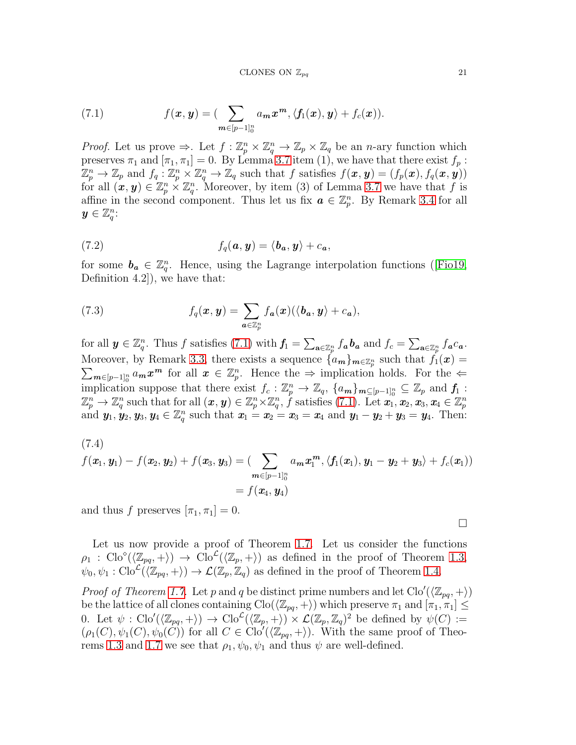<span id="page-20-0"></span>(7.1) 
$$
f(\boldsymbol{x}, \boldsymbol{y}) = \left(\sum_{\boldsymbol{m} \in [p-1]_0^n} a_{\boldsymbol{m}} \boldsymbol{x}^{\boldsymbol{m}}, \langle f_1(\boldsymbol{x}), \boldsymbol{y} \rangle + f_c(\boldsymbol{x})\right).
$$

*Proof.* Let us prove  $\Rightarrow$ . Let  $f: \mathbb{Z}_p^n \times \mathbb{Z}_q^n \to \mathbb{Z}_p \times \mathbb{Z}_q$  be an *n*-ary function which preserves  $\pi_1$  and  $[\pi_1, \pi_1] = 0$ . By Lemma [3.7](#page-6-2) item (1), we have that there exist  $f_p$ :  $\mathbb{Z}_p^n \to \mathbb{Z}_p$  and  $f_q: \mathbb{Z}_p^n \times \mathbb{Z}_q^n \to \mathbb{Z}_q$  such that f satisfies  $f(\bm{x}, \bm{y}) = (f_p(\bm{x}), f_q(\bm{x}, \bm{y}))$ for all  $(x, y) \in \mathbb{Z}_p^n \times \mathbb{Z}_q^n$ . Moreover, by item (3) of Lemma [3.7](#page-6-2) we have that f is affine in the second component. Thus let us fix  $a \in \mathbb{Z}_p^n$ . By Remark [3.4](#page-5-1) for all  $y \in \mathbb{Z}_q^n$ :

(7.2) 
$$
f_q(\mathbf{a}, \mathbf{y}) = \langle \mathbf{b}_\mathbf{a}, \mathbf{y} \rangle + c_\mathbf{a},
$$

for some  $b_a \in \mathbb{Z}_q^n$ . Hence, using the Lagrange interpolation functions ([\[Fio19,](#page-22-0) Definition 4.2]), we have that:

(7.3) 
$$
f_q(\boldsymbol{x}, \boldsymbol{y}) = \sum_{\boldsymbol{a} \in \mathbb{Z}_p^n} f_{\boldsymbol{a}}(\boldsymbol{x}) (\langle \boldsymbol{b}_{\boldsymbol{a}}, \boldsymbol{y} \rangle + c_{\boldsymbol{a}}),
$$

for all  $y \in \mathbb{Z}_q^n$ . Thus f satisfies [\(7.1\)](#page-20-0) with  $f_1 = \sum_{\mathbf{a} \in \mathbb{Z}_p^n} f_{\mathbf{a}} b_{\mathbf{a}}$  and  $f_c = \sum_{\mathbf{a} \in \mathbb{Z}_p^n} f_{\mathbf{a}} c_{\mathbf{a}}$ . Moreover, by Remark [3.3,](#page-3-1) there exists a sequence  ${a_m}_{m \in \mathbb{Z}_p^n}$  such that  $f_1(x) =$  $\sum_{m\in[p-1]_0^n} a_m x^m$  for all  $x \in \mathbb{Z}_p^n$ . Hence the  $\Rightarrow$  implication holds. For the  $\Leftarrow$ implication suppose that there exist  $f_c: \mathbb{Z}_p^n \to \mathbb{Z}_q$ ,  $\{a_m\}_{m \subseteq [p-1]^n_0} \subseteq \mathbb{Z}_p$  and  $f_1$ :  $\mathbb{Z}_p^n \to \mathbb{Z}_q^n$  such that for all  $(x, y) \in \mathbb{Z}_p^n \times \mathbb{Z}_q^n$ ,  $\hat{f}$  satisfies  $(7.1)$ . Let  $\hat{x_1}, x_2, x_3, x_4 \in \mathbb{Z}_p^n$ and  $y_1, y_2, y_3, y_4 \in \mathbb{Z}_q^n$  such that  $x_1 = x_2 = x_3 = x_4$  and  $y_1 - y_2 + y_3 = y_4$ . Then:

(7.4)  
\n
$$
f(\mathbf{x}_1, \mathbf{y}_1) - f(\mathbf{x}_2, \mathbf{y}_2) + f(\mathbf{x}_3, \mathbf{y}_3) = \left( \sum_{\mathbf{m} \in [p-1]_0^n} a_{\mathbf{m}} \mathbf{x}_1^{\mathbf{m}}, \langle f_1(\mathbf{x}_1), \mathbf{y}_1 - \mathbf{y}_2 + \mathbf{y}_3 \rangle + f_c(\mathbf{x}_1) \right)
$$
\n
$$
= f(\mathbf{x}_4, \mathbf{y}_4)
$$

and thus f preserves  $[\pi_1, \pi_1] = 0$ .

Let us now provide a proof of Theorem [1.7.](#page-2-1) Let us consider the functions  $\rho_1$ : Clo<sup>o</sup>( $\langle \mathbb{Z}_{pq}, + \rangle$ )  $\to$  Clo<sup>c</sup>( $\langle \mathbb{Z}_p, + \rangle$ ) as defined in the proof of Theorem [1.3,](#page-1-3)  $\psi_0, \psi_1 : \mathrm{Clo}^{\mathcal{L}}(\langle \mathbb{Z}_{pq}, + \rangle) \to \mathcal{L}(\mathbb{Z}_p, \mathbb{Z}_q)$  as defined in the proof of Theorem [1.4.](#page-1-0)

*Proof of Theorem [1.7.](#page-2-1)* Let p and q be distinct prime numbers and let  $\text{Clo}'(\langle \mathbb{Z}_{pq}, + \rangle)$ be the lattice of all clones containing  $\text{Clo}(\langle \mathbb{Z}_{pq}, +\rangle)$  which preserve  $\pi_1$  and  $[\pi_1, \pi_1] \leq$ 0. Let  $\psi : \text{Clo}'(\langle \mathbb{Z}_{pq}, + \rangle) \to \text{Clo}^{\mathcal{L}}(\langle \mathbb{Z}_{p}, + \rangle) \times \mathcal{L}(\mathbb{Z}_{p}, \mathbb{Z}_{q})^{2}$  be defined by  $\psi(C) :=$  $(\rho_1(C), \psi_1(C), \psi_0(C))$  for all  $C \in \text{Clo}'(\langle \mathbb{Z}_{pq}, + \rangle)$ . With the same proof of Theo-rems [1.3](#page-1-3) and [1.7](#page-2-1) we see that  $\rho_1, \psi_0, \psi_1$  and thus  $\psi$  are well-defined.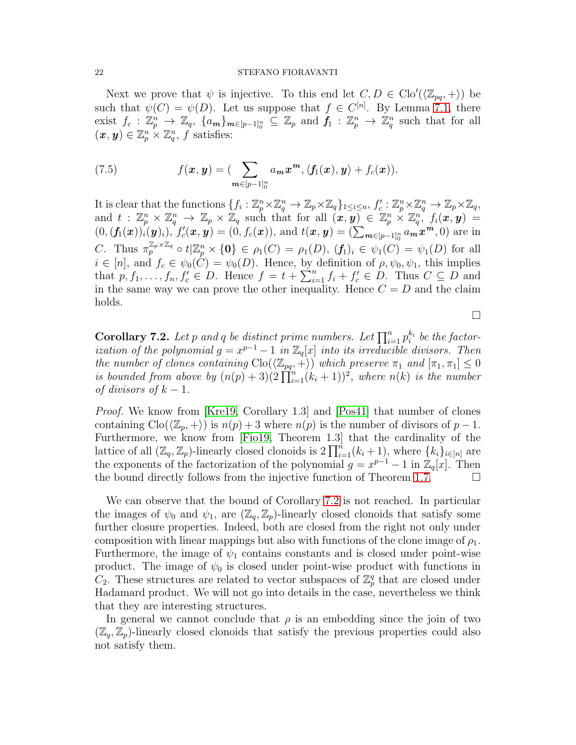Next we prove that  $\psi$  is injective. To this end let  $C, D \in \text{Clo}'(\langle \mathbb{Z}_{pq}, + \rangle)$  be such that  $\psi(C) = \psi(D)$ . Let us suppose that  $f \in C^{[n]}$ . By Lemma [7.1,](#page-19-0) there exist  $f_c: \mathbb{Z}_p^n \to \mathbb{Z}_q$ ,  $\{a_m\}_{m \in [p-1]_0^n} \subseteq \mathbb{Z}_p$  and  $f_1: \mathbb{Z}_p^n \to \mathbb{Z}_q^n$  such that for all  $(\boldsymbol{x}, \boldsymbol{y}) \in \mathbb{Z}_p^n \times \mathbb{Z}_q^n$ , f satisfies:

(7.5) 
$$
f(\boldsymbol{x}, \boldsymbol{y}) = \left(\sum_{\boldsymbol{m} \in [p-1]_0^n} a_{\boldsymbol{m}} \boldsymbol{x}^{\boldsymbol{m}}, \langle f_1(\boldsymbol{x}), \boldsymbol{y} \rangle + f_c(\boldsymbol{x})\right).
$$

It is clear that the functions  $\{f_i:\mathbb{Z}_p^n\times\mathbb{Z}_q^n\to\mathbb{Z}_p\times\mathbb{Z}_q\}_{1\leq i\leq n}, f'_c:\mathbb{Z}_p^n\times\mathbb{Z}_q^n\to\mathbb{Z}_p\times\mathbb{Z}_q,$ and  $t : \mathbb{Z}_p^n \times \mathbb{Z}_q^n \to \mathbb{Z}_p \times \mathbb{Z}_q$  such that for all  $(x, y) \in \mathbb{Z}_p^n \times \mathbb{Z}_q^n$ ,  $f_i(x, y) =$  $(0,(\pmb{f_1}(\pmb{x}))_i(\pmb{y})_i), f'_c(\pmb{x},\pmb{y}) = (0,f_c(\pmb{x})), \text{ and } t(\pmb{x},\pmb{y}) = (\sum_{\pmb{m}\in[\pmb{p}-1]_0^n} a_{\pmb{m}}\pmb{x}^{\pmb{m}},0)$  are in C. Thus  $\pi_p^{\mathbb{Z}_p \times \mathbb{Z}_q} \circ t | \mathbb{Z}_p^n \times \{0\} \in \rho_1(C) = \rho_1(D), (f_1)_i \in \psi_1(C) = \psi_1(D)$  for all  $i \in [n]$ , and  $f_c \in \psi_0(C) = \psi_0(D)$ . Hence, by definition of  $\rho, \psi_0, \psi_1$ , this implies that  $p, f_1, \ldots, f_n, f'_c \in D$ . Hence  $f = t + \sum_{i=1}^n f_i + f'_c \in D$ . Thus  $C \subseteq D$  and in the same way we can prove the other inequality. Hence  $C = D$  and the claim holds.

 $\Box$ 

<span id="page-21-0"></span>**Corollary 7.2.** Let p and q be distinct prime numbers. Let  $\prod_{i=1}^{n} p_i^{k_i}$  be the factorization of the polynomial  $g = x^{p-1} - 1$  in  $\mathbb{Z}_q[x]$  into its irreducible divisors. Then the number of clones containing  $\text{Clo}(\langle \mathbb{Z}_{pq}, +\rangle)$  which preserve  $\pi_1$  and  $[\pi_1, \pi_1] \leq 0$ is bounded from above by  $(n(p) + 3)(2 \prod_{i=1}^{n} (k_i + 1))^2$ , where  $n(k)$  is the number of divisors of  $k-1$ .

Proof. We know from [\[Kre19,](#page-22-10) Corollary 1.3] and [\[Pos41\]](#page-22-1) that number of clones containing  $\text{Cl}_0(\mathbb{Z}_p, +)$  is  $n(p) + 3$  where  $n(p)$  is the number of divisors of  $p - 1$ . Furthermore, we know from [\[Fio19,](#page-22-0) Theorem 1.3] that the cardinality of the lattice of all  $(\mathbb{Z}_q, \mathbb{Z}_p)$ -linearly closed clonoids is  $2 \prod_{i=1}^n (k_i + 1)$ , where  $\{k_i\}_{i \in [n]}$  are the exponents of the factorization of the polynomial  $g = x^{p-1} - 1$  in  $\mathbb{Z}_q[x]$ . Then the bound directly follows from the injective function of Theorem [1.7.](#page-2-1)  $\Box$ 

We can observe that the bound of Corollary [7.2](#page-21-0) is not reached. In particular the images of  $\psi_0$  and  $\psi_1$ , are  $(\mathbb{Z}_q, \mathbb{Z}_p)$ -linearly closed clonoids that satisfy some further closure properties. Indeed, both are closed from the right not only under composition with linear mappings but also with functions of the clone image of  $\rho_1$ . Furthermore, the image of  $\psi_1$  contains constants and is closed under point-wise product. The image of  $\psi_0$  is closed under point-wise product with functions in  $C_2$ . These structures are related to vector subspaces of  $\mathbb{Z}_p^q$  that are closed under Hadamard product. We will not go into details in the case, nevertheless we think that they are interesting structures.

In general we cannot conclude that  $\rho$  is an embedding since the join of two  $(\mathbb{Z}_q, \mathbb{Z}_p)$ -linearly closed clonoids that satisfy the previous properties could also not satisfy them.